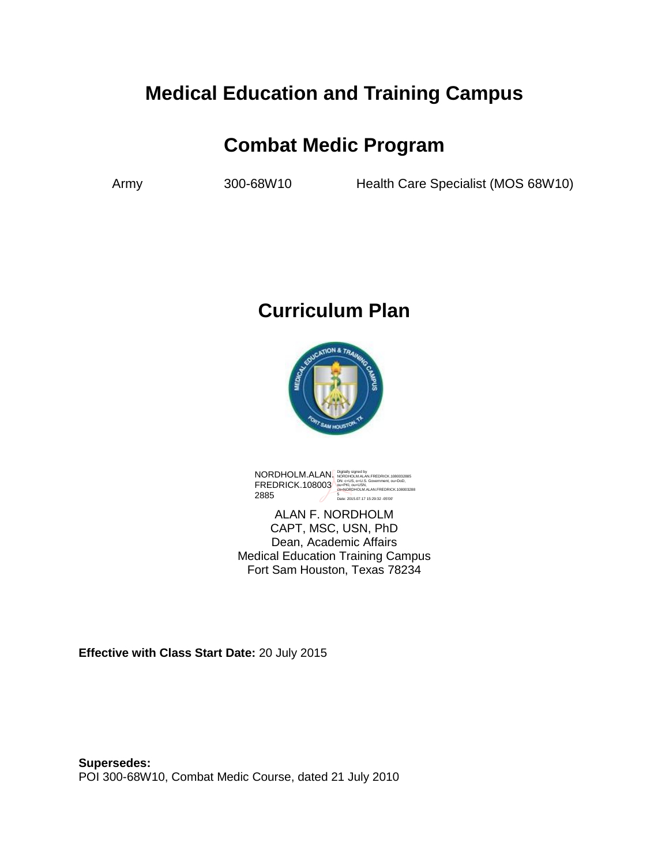# **Medical Education and Training Campus**

# **Combat Medic Program**

Army 300-68W10 Health Care Specialist (MOS 68W10)

# **Curriculum Plan**



NORDHOLM.ALAN. FREDRICK.108003 2885 Digitally signed by<br>NORDHOLM.ALAN.FREDRICK.1080032885<br>DN: c=US, o=U.S. Government, ou=DoD,<br>ou=PKI, ou=USN,<br>on=NORDHOLM.ALAN.FREDRICK.108003288 5 Date: 2015.07.17 15:29:32 -05'00'

ALAN F. NORDHOLM CAPT, MSC, USN, PhD Dean, Academic Affairs Medical Education Training Campus Fort Sam Houston, Texas 78234

**Effective with Class Start Date:** 20 July 2015

**Supersedes:**  POI 300-68W10, Combat Medic Course, dated 21 July 2010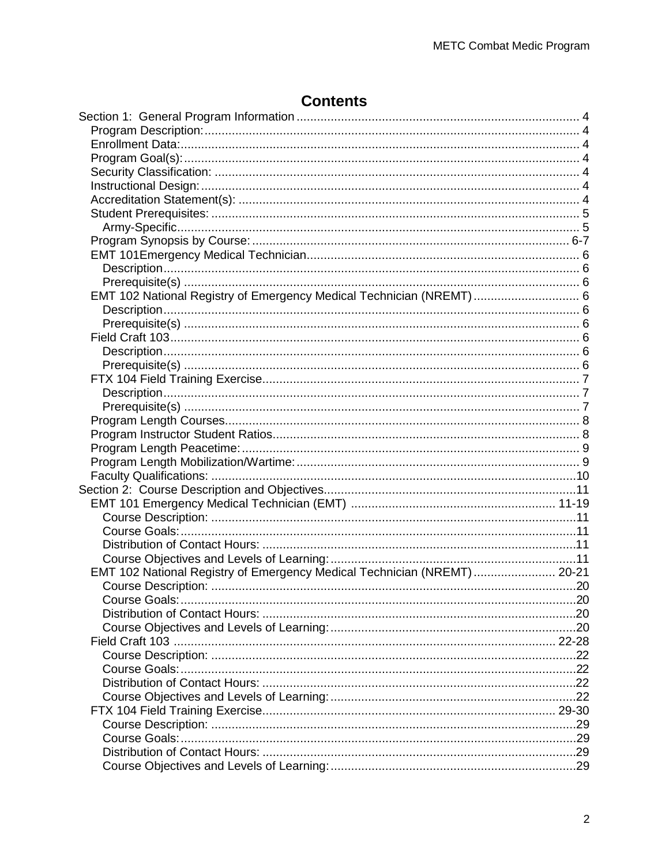## **Contents**

| EMT 102 National Registry of Emergency Medical Technician (NREMT)  6    |  |
|-------------------------------------------------------------------------|--|
|                                                                         |  |
|                                                                         |  |
|                                                                         |  |
|                                                                         |  |
|                                                                         |  |
|                                                                         |  |
|                                                                         |  |
|                                                                         |  |
|                                                                         |  |
|                                                                         |  |
|                                                                         |  |
|                                                                         |  |
|                                                                         |  |
|                                                                         |  |
|                                                                         |  |
|                                                                         |  |
|                                                                         |  |
|                                                                         |  |
|                                                                         |  |
| EMT 102 National Registry of Emergency Medical Technician (NREMT) 20-21 |  |
|                                                                         |  |
|                                                                         |  |
|                                                                         |  |
|                                                                         |  |
|                                                                         |  |
|                                                                         |  |
|                                                                         |  |
|                                                                         |  |
|                                                                         |  |
|                                                                         |  |
|                                                                         |  |
|                                                                         |  |
|                                                                         |  |
|                                                                         |  |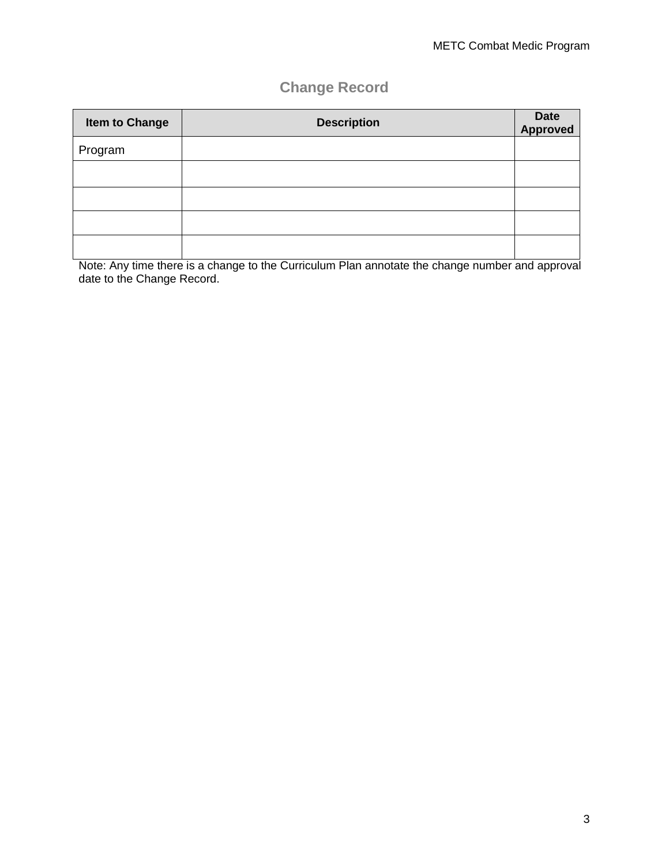## **Change Record**

| <b>Item to Change</b> | <b>Description</b> | Date<br>Approved |
|-----------------------|--------------------|------------------|
| Program               |                    |                  |
|                       |                    |                  |
|                       |                    |                  |
|                       |                    |                  |
|                       |                    |                  |

Note: Any time there is a change to the Curriculum Plan annotate the change number and approval date to the Change Record.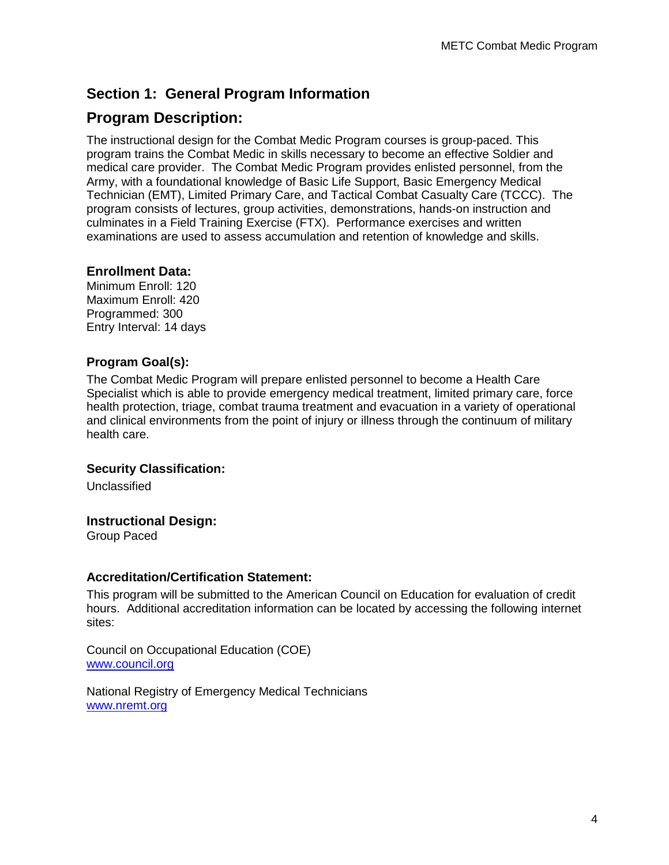## **Section 1: General Program Information**

## **Program Description:**

The instructional design for the Combat Medic Program courses is group-paced. This program trains the Combat Medic in skills necessary to become an effective Soldier and medical care provider. The Combat Medic Program provides enlisted personnel, from the Army, with a foundational knowledge of Basic Life Support, Basic Emergency Medical Technician (EMT), Limited Primary Care, and Tactical Combat Casualty Care (TCCC). The program consists of lectures, group activities, demonstrations, hands-on instruction and culminates in a Field Training Exercise (FTX). Performance exercises and written examinations are used to assess accumulation and retention of knowledge and skills.

#### **Enrollment Data:**

Minimum Enroll: 120 Maximum Enroll: 420 Programmed: 300 Entry Interval: 14 days

#### **Program Goal(s):**

The Combat Medic Program will prepare enlisted personnel to become a Health Care Specialist which is able to provide emergency medical treatment, limited primary care, force health protection, triage, combat trauma treatment and evacuation in a variety of operational and clinical environments from the point of injury or illness through the continuum of military health care.

#### **Security Classification:**

Unclassified

#### **Instructional Design:**

Group Paced

#### **Accreditation/Certification Statement:**

This program will be submitted to the American Council on Education for evaluation of credit hours. Additional accreditation information can be located by accessing the following internet sites:

Council on Occupational Education (COE) [www.council.org](http://www.council.org/)

National Registry of Emergency Medical Technicians [www.nremt.org](http://www.nremt.org/)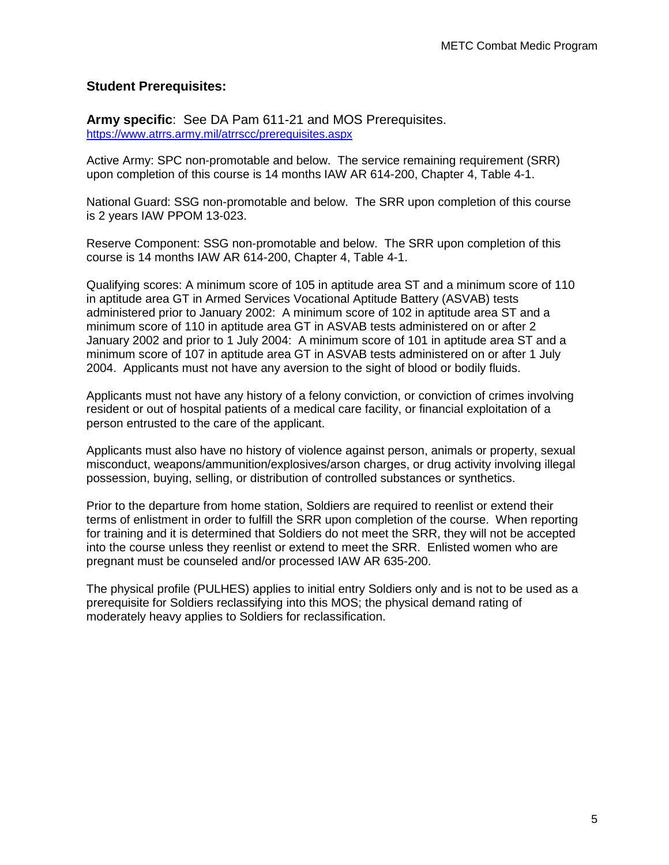#### **Student Prerequisites:**

**Army specific**: See DA Pam 611-21 and MOS Prerequisites. <https://www.atrrs.army.mil/atrrscc/prerequisites.aspx>

Active Army: SPC non-promotable and below. The service remaining requirement (SRR) upon completion of this course is 14 months IAW AR 614-200, Chapter 4, Table 4-1.

National Guard: SSG non-promotable and below. The SRR upon completion of this course is 2 years IAW PPOM 13-023.

Reserve Component: SSG non-promotable and below. The SRR upon completion of this course is 14 months IAW AR 614-200, Chapter 4, Table 4-1.

Qualifying scores: A minimum score of 105 in aptitude area ST and a minimum score of 110 in aptitude area GT in Armed Services Vocational Aptitude Battery (ASVAB) tests administered prior to January 2002: A minimum score of 102 in aptitude area ST and a minimum score of 110 in aptitude area GT in ASVAB tests administered on or after 2 January 2002 and prior to 1 July 2004: A minimum score of 101 in aptitude area ST and a minimum score of 107 in aptitude area GT in ASVAB tests administered on or after 1 July 2004. Applicants must not have any aversion to the sight of blood or bodily fluids.

Applicants must not have any history of a felony conviction, or conviction of crimes involving resident or out of hospital patients of a medical care facility, or financial exploitation of a person entrusted to the care of the applicant.

Applicants must also have no history of violence against person, animals or property, sexual misconduct, weapons/ammunition/explosives/arson charges, or drug activity involving illegal possession, buying, selling, or distribution of controlled substances or synthetics.

Prior to the departure from home station, Soldiers are required to reenlist or extend their terms of enlistment in order to fulfill the SRR upon completion of the course. When reporting for training and it is determined that Soldiers do not meet the SRR, they will not be accepted into the course unless they reenlist or extend to meet the SRR. Enlisted women who are pregnant must be counseled and/or processed IAW AR 635-200.

The physical profile (PULHES) applies to initial entry Soldiers only and is not to be used as a prerequisite for Soldiers reclassifying into this MOS; the physical demand rating of moderately heavy applies to Soldiers for reclassification.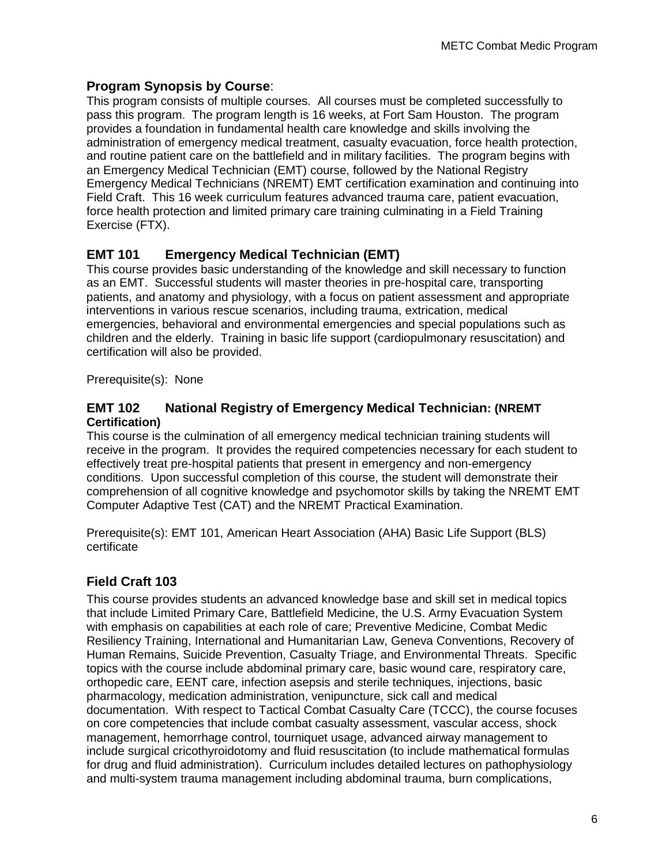### **Program Synopsis by Course**:

This program consists of multiple courses. All courses must be completed successfully to pass this program. The program length is 16 weeks, at Fort Sam Houston. The program provides a foundation in fundamental health care knowledge and skills involving the administration of emergency medical treatment, casualty evacuation, force health protection, and routine patient care on the battlefield and in military facilities. The program begins with an Emergency Medical Technician (EMT) course, followed by the National Registry Emergency Medical Technicians (NREMT) EMT certification examination and continuing into Field Craft. This 16 week curriculum features advanced trauma care, patient evacuation, force health protection and limited primary care training culminating in a Field Training Exercise (FTX).

## **EMT 101 Emergency Medical Technician (EMT)**

This course provides basic understanding of the knowledge and skill necessary to function as an EMT. Successful students will master theories in pre-hospital care, transporting patients, and anatomy and physiology, with a focus on patient assessment and appropriate interventions in various rescue scenarios, including trauma, extrication, medical emergencies, behavioral and environmental emergencies and special populations such as children and the elderly. Training in basic life support (cardiopulmonary resuscitation) and certification will also be provided.

Prerequisite(s): None

#### **EMT 102 National Registry of Emergency Medical Technician: (NREMT Certification)**

This course is the culmination of all emergency medical technician training students will receive in the program. It provides the required competencies necessary for each student to effectively treat pre-hospital patients that present in emergency and non-emergency conditions. Upon successful completion of this course, the student will demonstrate their comprehension of all cognitive knowledge and psychomotor skills by taking the NREMT EMT Computer Adaptive Test (CAT) and the NREMT Practical Examination.

Prerequisite(s): EMT 101, American Heart Association (AHA) Basic Life Support (BLS) certificate

## **Field Craft 103**

This course provides students an advanced knowledge base and skill set in medical topics that include Limited Primary Care, Battlefield Medicine, the U.S. Army Evacuation System with emphasis on capabilities at each role of care; Preventive Medicine, Combat Medic Resiliency Training, International and Humanitarian Law, Geneva Conventions, Recovery of Human Remains, Suicide Prevention, Casualty Triage, and Environmental Threats. Specific topics with the course include abdominal primary care, basic wound care, respiratory care, orthopedic care, EENT care, infection asepsis and sterile techniques, injections, basic pharmacology, medication administration, venipuncture, sick call and medical documentation. With respect to Tactical Combat Casualty Care (TCCC), the course focuses on core competencies that include combat casualty assessment, vascular access, shock management, hemorrhage control, tourniquet usage, advanced airway management to include surgical cricothyroidotomy and fluid resuscitation (to include mathematical formulas for drug and fluid administration). Curriculum includes detailed lectures on pathophysiology and multi-system trauma management including abdominal trauma, burn complications,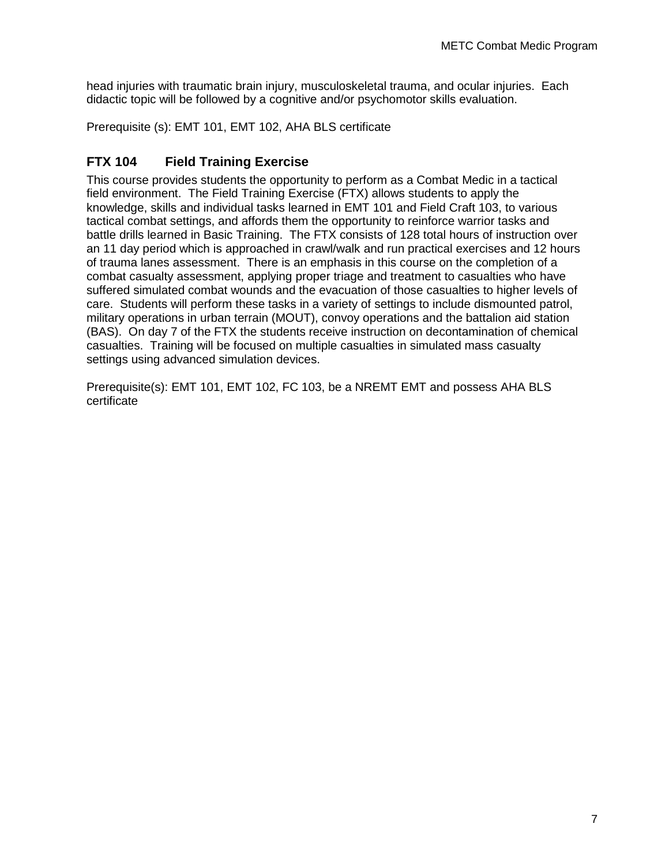head injuries with traumatic brain injury, musculoskeletal trauma, and ocular injuries. Each didactic topic will be followed by a cognitive and/or psychomotor skills evaluation.

Prerequisite (s): EMT 101, EMT 102, AHA BLS certificate

### **FTX 104 Field Training Exercise**

This course provides students the opportunity to perform as a Combat Medic in a tactical field environment. The Field Training Exercise (FTX) allows students to apply the knowledge, skills and individual tasks learned in EMT 101 and Field Craft 103, to various tactical combat settings, and affords them the opportunity to reinforce warrior tasks and battle drills learned in Basic Training. The FTX consists of 128 total hours of instruction over an 11 day period which is approached in crawl/walk and run practical exercises and 12 hours of trauma lanes assessment. There is an emphasis in this course on the completion of a combat casualty assessment, applying proper triage and treatment to casualties who have suffered simulated combat wounds and the evacuation of those casualties to higher levels of care. Students will perform these tasks in a variety of settings to include dismounted patrol, military operations in urban terrain (MOUT), convoy operations and the battalion aid station (BAS). On day 7 of the FTX the students receive instruction on decontamination of chemical casualties. Training will be focused on multiple casualties in simulated mass casualty settings using advanced simulation devices.

Prerequisite(s): EMT 101, EMT 102, FC 103, be a NREMT EMT and possess AHA BLS certificate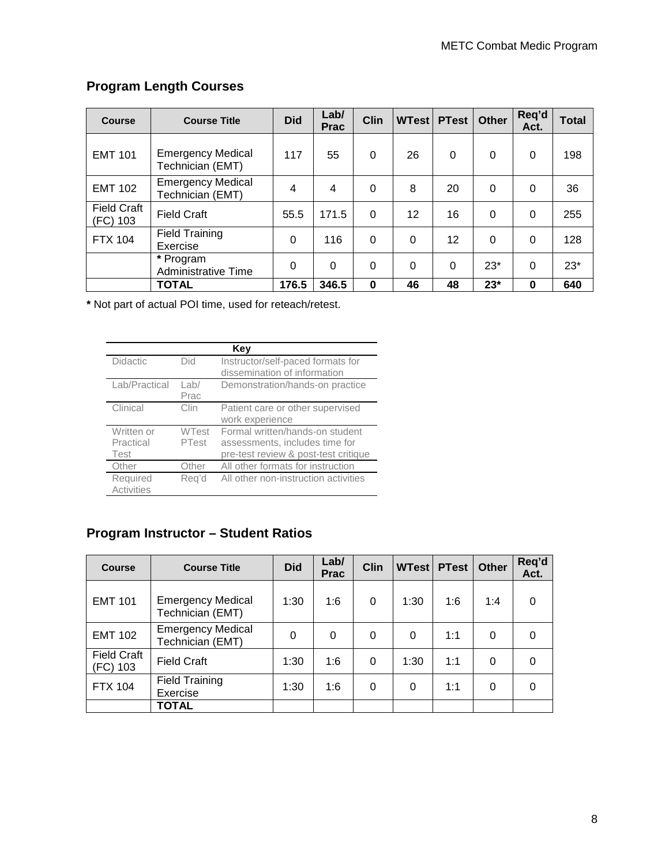## **Program Length Courses**

| <b>Course</b>                  | <b>Course Title</b>                          | <b>Did</b> | Lab/<br><b>Prac</b> | <b>Clin</b> | <b>WTest</b> | <b>PTest</b> | Other    | Req'd<br>Act. | Total |
|--------------------------------|----------------------------------------------|------------|---------------------|-------------|--------------|--------------|----------|---------------|-------|
| <b>EMT 101</b>                 | <b>Emergency Medical</b><br>Technician (EMT) | 117        | 55                  | $\Omega$    | 26           | 0            | $\Omega$ | $\Omega$      | 198   |
| <b>EMT 102</b>                 | <b>Emergency Medical</b><br>Technician (EMT) | 4          | 4                   | 0           | 8            | 20           | $\Omega$ | 0             | 36    |
| <b>Field Craft</b><br>(FC) 103 | <b>Field Craft</b>                           | 55.5       | 171.5               | 0           | 12           | 16           | $\Omega$ | $\Omega$      | 255   |
| <b>FTX 104</b>                 | <b>Field Training</b><br>Exercise            | 0          | 116                 | $\Omega$    | $\Omega$     | 12           | $\Omega$ | 0             | 128   |
|                                | * Program<br>Administrative Time             | $\Omega$   | $\Omega$            | $\mathbf 0$ | $\Omega$     | $\Omega$     | $23*$    | $\Omega$      | $23*$ |
|                                | <b>TOTAL</b>                                 | 176.5      | 346.5               | $\bf{0}$    | 46           | 48           | $23*$    | $\bf{0}$      | 640   |

**\*** Not part of actual POI time, used for reteach/retest.

|                                 |                       | Kev                                                                                                       |
|---------------------------------|-----------------------|-----------------------------------------------------------------------------------------------------------|
| <b>Didactic</b>                 | Did                   | Instructor/self-paced formats for<br>dissemination of information                                         |
| Lab/Practical                   | $L$ ab/<br>Prac       | Demonstration/hands-on practice                                                                           |
| Clinical                        | Clin                  | Patient care or other supervised<br>work experience                                                       |
| Written or<br>Practical<br>Test | <b>WTest</b><br>PTest | Formal written/hands-on student<br>assessments, includes time for<br>pre-test review & post-test critique |
| Other                           | Other                 | All other formats for instruction                                                                         |
| Required<br><b>Activities</b>   | Reg'd                 | All other non-instruction activities                                                                      |

## **Program Instructor – Student Ratios**

| <b>Course</b>                  | <b>Course Title</b>                          | <b>Did</b> | Lab/<br><b>Prac</b> | <b>Clin</b> | <b>WTest PTest</b> |     | <b>Other</b> | Req'd<br>Act. |
|--------------------------------|----------------------------------------------|------------|---------------------|-------------|--------------------|-----|--------------|---------------|
| <b>EMT 101</b>                 | <b>Emergency Medical</b><br>Technician (EMT) | 1:30       | 1:6                 | 0           | 1:30               | 1:6 | 1:4          | $\Omega$      |
| <b>EMT 102</b>                 | <b>Emergency Medical</b><br>Technician (EMT) | 0          | 0                   | 0           | $\Omega$           | 1:1 | 0            |               |
| <b>Field Craft</b><br>(FC) 103 | <b>Field Craft</b>                           | 1:30       | 1:6                 | $\Omega$    | 1:30               | 1:1 | 0            |               |
| <b>FTX 104</b>                 | <b>Field Training</b><br>Exercise            | 1:30       | 1:6                 | $\Omega$    | 0                  | 1:1 | 0            |               |
|                                | TOTAL                                        |            |                     |             |                    |     |              |               |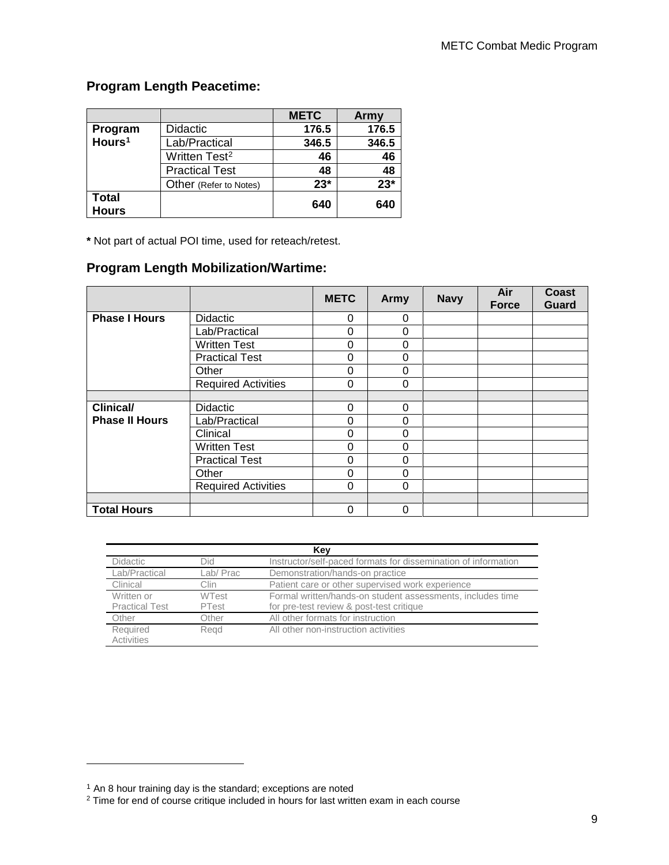## **Program Length Peacetime:**

|                       |                           | <b>METC</b> | Army  |
|-----------------------|---------------------------|-------------|-------|
| Program               | <b>Didactic</b>           | 176.5       | 176.5 |
| Hours <sup>1</sup>    | Lab/Practical             | 346.5       | 346.5 |
|                       | Written Test <sup>2</sup> | 46          | 46    |
|                       | <b>Practical Test</b>     | 48          | 48    |
|                       | Other (Refer to Notes)    | $23*$       | $23*$ |
| Total<br><b>Hours</b> |                           | 640         | 640   |

**\*** Not part of actual POI time, used for reteach/retest.

#### **Program Length Mobilization/Wartime:**

|                       |                            | <b>METC</b> | Army        | <b>Navy</b> | Air<br><b>Force</b> | <b>Coast</b><br><b>Guard</b> |
|-----------------------|----------------------------|-------------|-------------|-------------|---------------------|------------------------------|
| <b>Phase I Hours</b>  | <b>Didactic</b>            | 0           | $\Omega$    |             |                     |                              |
|                       | Lab/Practical              | $\Omega$    | 0           |             |                     |                              |
|                       | <b>Written Test</b>        | $\Omega$    | 0           |             |                     |                              |
|                       | <b>Practical Test</b>      | 0           | 0           |             |                     |                              |
|                       | Other                      | $\Omega$    | $\mathbf 0$ |             |                     |                              |
|                       | <b>Required Activities</b> | $\Omega$    | $\Omega$    |             |                     |                              |
|                       |                            |             |             |             |                     |                              |
| <b>Clinical/</b>      | <b>Didactic</b>            | $\Omega$    | $\Omega$    |             |                     |                              |
| <b>Phase II Hours</b> | Lab/Practical              | $\Omega$    | 0           |             |                     |                              |
|                       | Clinical                   | 0           | 0           |             |                     |                              |
|                       | <b>Written Test</b>        | $\Omega$    | $\Omega$    |             |                     |                              |
|                       | <b>Practical Test</b>      | $\Omega$    | $\mathbf 0$ |             |                     |                              |
|                       | Other                      | $\Omega$    | $\mathbf 0$ |             |                     |                              |
|                       | <b>Required Activities</b> | $\Omega$    | $\Omega$    |             |                     |                              |
|                       |                            |             |             |             |                     |                              |
| <b>Total Hours</b>    |                            | 0           | 0           |             |                     |                              |

| Key                   |              |                                                                |  |  |  |  |
|-----------------------|--------------|----------------------------------------------------------------|--|--|--|--|
| <b>Didactic</b>       | Did          | Instructor/self-paced formats for dissemination of information |  |  |  |  |
| Lab/Practical         | Lab/Prac     | Demonstration/hands-on practice                                |  |  |  |  |
| Clinical              | Clin         | Patient care or other supervised work experience               |  |  |  |  |
| Written or            | <b>WTest</b> | Formal written/hands-on student assessments, includes time     |  |  |  |  |
| <b>Practical Test</b> | PTest        | for pre-test review & post-test critique                       |  |  |  |  |
| Other                 | Other        | All other formats for instruction                              |  |  |  |  |
| Required              | Read         | All other non-instruction activities                           |  |  |  |  |
| <b>Activities</b>     |              |                                                                |  |  |  |  |

<span id="page-8-0"></span><sup>&</sup>lt;sup>1</sup> An 8 hour training day is the standard; exceptions are noted

<span id="page-8-1"></span> $2$  Time for end of course critique included in hours for last written exam in each course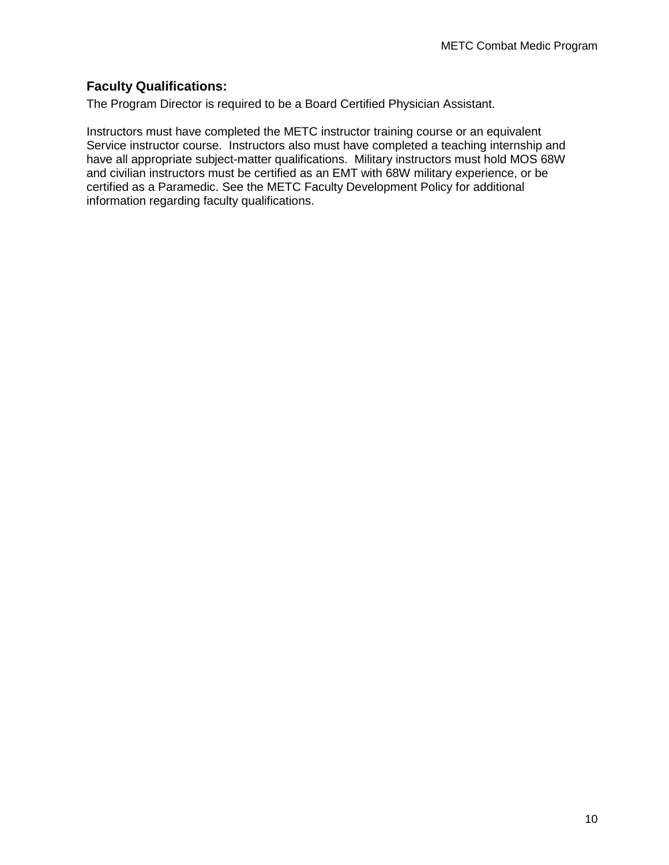### **Faculty Qualifications:**

The Program Director is required to be a Board Certified Physician Assistant.

Instructors must have completed the METC instructor training course or an equivalent Service instructor course. Instructors also must have completed a teaching internship and have all appropriate subject-matter qualifications. Military instructors must hold MOS 68W and civilian instructors must be certified as an EMT with 68W military experience, or be certified as a Paramedic. See the METC Faculty Development Policy for additional information regarding faculty qualifications.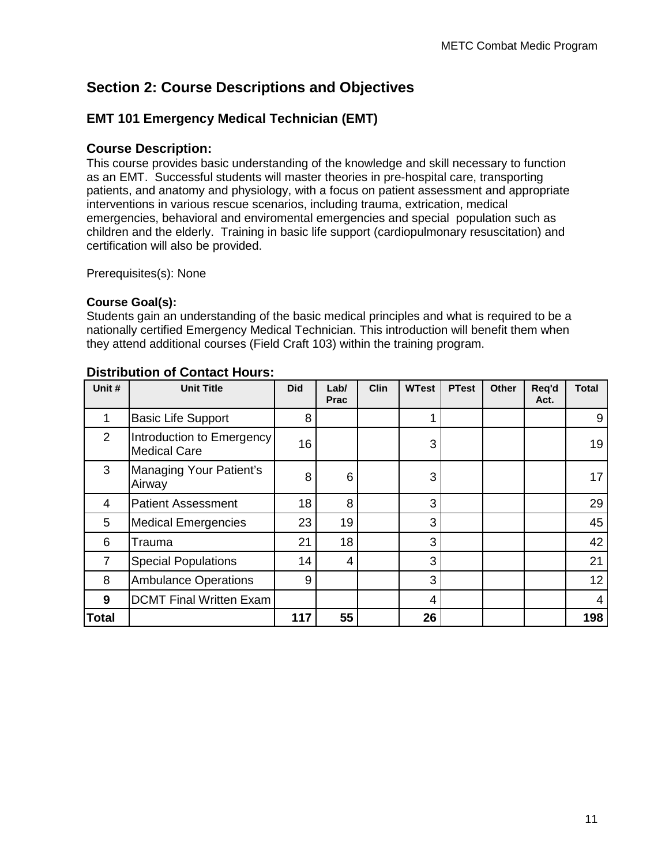## **Section 2: Course Descriptions and Objectives**

### **EMT 101 Emergency Medical Technician (EMT)**

#### **Course Description:**

This course provides basic understanding of the knowledge and skill necessary to function as an EMT. Successful students will master theories in pre-hospital care, transporting patients, and anatomy and physiology, with a focus on patient assessment and appropriate interventions in various rescue scenarios, including trauma, extrication, medical emergencies, behavioral and enviromental emergencies and special population such as children and the elderly. Training in basic life support (cardiopulmonary resuscitation) and certification will also be provided.

Prerequisites(s): None

#### **Course Goal(s):**

Students gain an understanding of the basic medical principles and what is required to be a nationally certified Emergency Medical Technician. This introduction will benefit them when they attend additional courses (Field Craft 103) within the training program.

| Unit #         | <b>Unit Title</b>                                | <b>Did</b> | Lab/<br><b>Prac</b> | <b>Clin</b> | <b>WTest</b> | <b>PTest</b> | <b>Other</b> | Req'd<br>Act. | <b>Total</b>    |
|----------------|--------------------------------------------------|------------|---------------------|-------------|--------------|--------------|--------------|---------------|-----------------|
| 1              | <b>Basic Life Support</b>                        | 8          |                     |             |              |              |              |               | 9               |
| 2              | Introduction to Emergency<br><b>Medical Care</b> | 16         |                     |             | 3            |              |              |               | 19              |
| 3              | Managing Your Patient's<br>Airway                | 8          | 6                   |             | 3            |              |              |               | 17              |
| 4              | <b>Patient Assessment</b>                        | 18         | 8                   |             | 3            |              |              |               | 29              |
| 5              | <b>Medical Emergencies</b>                       | 23         | 19                  |             | 3            |              |              |               | 45              |
| 6              | Trauma                                           | 21         | 18                  |             | 3            |              |              |               | 42              |
| $\overline{7}$ | <b>Special Populations</b>                       | 14         | 4                   |             | 3            |              |              |               | 21              |
| 8              | <b>Ambulance Operations</b>                      | 9          |                     |             | 3            |              |              |               | 12 <sub>2</sub> |
| 9              | <b>DCMT Final Written Exam</b>                   |            |                     |             | 4            |              |              |               | 4               |
| <b>Total</b>   |                                                  | 117        | 55                  |             | 26           |              |              |               | 198             |

#### **Distribution of Contact Hours:**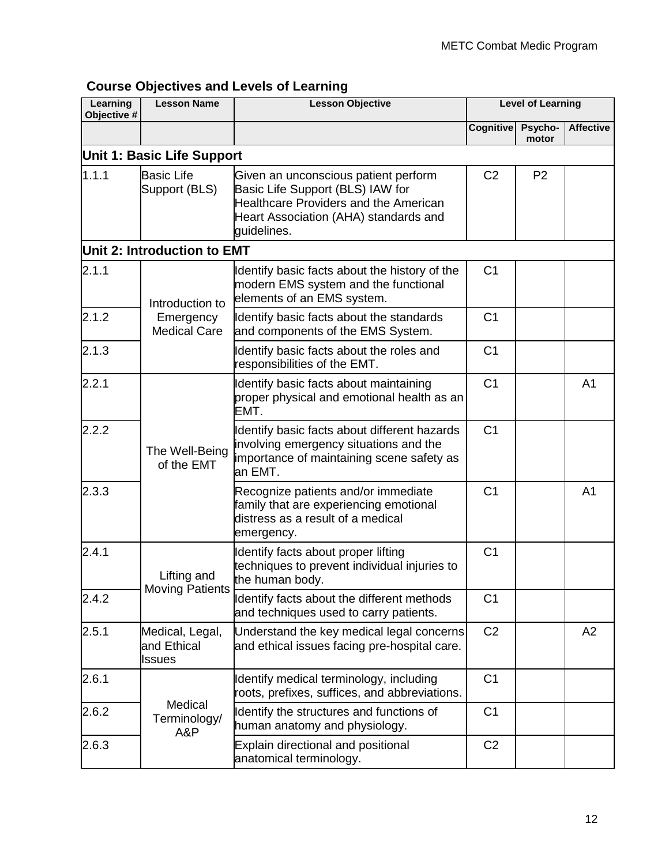| Learning<br>Objective # | <b>Lesson Name</b>                       | <b>Lesson Objective</b>                                                                                                                                                          |                | <b>Level of Learning</b> |                  |
|-------------------------|------------------------------------------|----------------------------------------------------------------------------------------------------------------------------------------------------------------------------------|----------------|--------------------------|------------------|
|                         |                                          |                                                                                                                                                                                  | Cognitive      | Psycho-<br>motor         | <b>Affective</b> |
|                         | Unit 1: Basic Life Support               |                                                                                                                                                                                  |                |                          |                  |
| 1.1.1                   | <b>Basic Life</b><br>Support (BLS)       | Given an unconscious patient perform<br>Basic Life Support (BLS) IAW for<br><b>Healthcare Providers and the American</b><br>Heart Association (AHA) standards and<br>guidelines. | C <sub>2</sub> | P <sub>2</sub>           |                  |
|                         | Unit 2: Introduction to EMT              |                                                                                                                                                                                  |                |                          |                  |
| 2.1.1                   | Introduction to                          | Identify basic facts about the history of the<br>modern EMS system and the functional<br>elements of an EMS system.                                                              | C <sub>1</sub> |                          |                  |
| 2.1.2                   | Emergency<br><b>Medical Care</b>         | Identify basic facts about the standards<br>and components of the EMS System.                                                                                                    | C <sub>1</sub> |                          |                  |
| 2.1.3                   |                                          | Identify basic facts about the roles and<br>responsibilities of the EMT.                                                                                                         | C <sub>1</sub> |                          |                  |
| 2.2.1                   | The Well-Being<br>of the EMT             | Identify basic facts about maintaining<br>proper physical and emotional health as an<br>EMT.                                                                                     | C <sub>1</sub> |                          | A <sub>1</sub>   |
| 2.2.2                   |                                          | Identify basic facts about different hazards<br>involving emergency situations and the<br>importance of maintaining scene safety as<br>an EMT.                                   | C <sub>1</sub> |                          |                  |
| 2.3.3                   |                                          | Recognize patients and/or immediate<br>family that are experiencing emotional<br>distress as a result of a medical<br>emergency.                                                 | C <sub>1</sub> |                          | A <sub>1</sub>   |
| 2.4.1                   | Lifting and                              | Identify facts about proper lifting<br>techniques to prevent individual injuries to<br>the human body.                                                                           | C <sub>1</sub> |                          |                  |
| 2.4.2                   | <b>Moving Patients</b>                   | Identify facts about the different methods<br>and techniques used to carry patients.                                                                                             | C <sub>1</sub> |                          |                  |
| 2.5.1                   | Medical, Legal,<br>and Ethical<br>Issues | Understand the key medical legal concerns<br>and ethical issues facing pre-hospital care.                                                                                        | C <sub>2</sub> |                          | A2               |
| 2.6.1                   |                                          | Identify medical terminology, including<br>roots, prefixes, suffices, and abbreviations.                                                                                         | C <sub>1</sub> |                          |                  |
| 2.6.2                   | Medical<br>Terminology/<br>A&P           | Identify the structures and functions of<br>human anatomy and physiology.                                                                                                        | C <sub>1</sub> |                          |                  |
| 2.6.3                   |                                          | Explain directional and positional<br>anatomical terminology.                                                                                                                    | C <sub>2</sub> |                          |                  |

## **Course Objectives and Levels of Learning**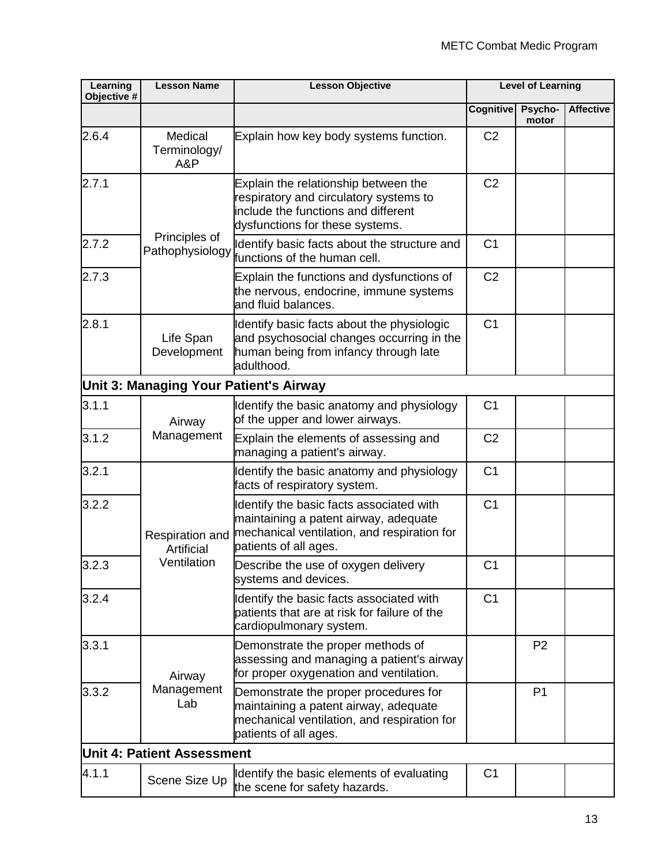| Learning<br>Objective # | <b>Lesson Name</b>                | <b>Lesson Objective</b>                                                                                                                                   | <b>Level of Learning</b> |                  |                  |
|-------------------------|-----------------------------------|-----------------------------------------------------------------------------------------------------------------------------------------------------------|--------------------------|------------------|------------------|
|                         |                                   |                                                                                                                                                           | <b>Cognitive</b>         | Psycho-<br>motor | <b>Affective</b> |
| 2.6.4                   | Medical<br>Terminology/<br>A&P    | Explain how key body systems function.                                                                                                                    | C <sub>2</sub>           |                  |                  |
| 2.7.1                   |                                   | Explain the relationship between the<br>respiratory and circulatory systems to<br>include the functions and different<br>dysfunctions for these systems.  | C <sub>2</sub>           |                  |                  |
| 2.7.2                   | Principles of<br>Pathophysiology  | Identify basic facts about the structure and<br>functions of the human cell.                                                                              | C <sub>1</sub>           |                  |                  |
| 2.7.3                   |                                   | Explain the functions and dysfunctions of<br>the nervous, endocrine, immune systems<br>and fluid balances.                                                | C <sub>2</sub>           |                  |                  |
| 2.8.1                   | Life Span<br>Development          | Identify basic facts about the physiologic<br>and psychosocial changes occurring in the<br>human being from infancy through late<br>adulthood.            | C <sub>1</sub>           |                  |                  |
|                         |                                   | Unit 3: Managing Your Patient's Airway                                                                                                                    |                          |                  |                  |
| 3.1.1                   | Airway                            | Identify the basic anatomy and physiology<br>of the upper and lower airways.                                                                              | C <sub>1</sub>           |                  |                  |
| 3.1.2                   | Management                        | Explain the elements of assessing and<br>managing a patient's airway.                                                                                     | C <sub>2</sub>           |                  |                  |
| 3.2.1                   |                                   | Identify the basic anatomy and physiology<br>facts of respiratory system.                                                                                 | C <sub>1</sub>           |                  |                  |
| 3.2.2                   | Respiration and<br>Artificial     | Identify the basic facts associated with<br>maintaining a patent airway, adequate<br>mechanical ventilation, and respiration for<br>patients of all ages. | C <sub>1</sub>           |                  |                  |
| 3.2.3                   | Ventilation                       | Describe the use of oxygen delivery<br>systems and devices.                                                                                               | C <sub>1</sub>           |                  |                  |
| 3.2.4                   |                                   | Identify the basic facts associated with<br>patients that are at risk for failure of the<br>cardiopulmonary system.                                       | C <sub>1</sub>           |                  |                  |
| 3.3.1                   | Airway                            | Demonstrate the proper methods of<br>assessing and managing a patient's airway<br>for proper oxygenation and ventilation.                                 |                          | P <sub>2</sub>   |                  |
| 3.3.2                   | Management<br>Lab                 | Demonstrate the proper procedures for<br>maintaining a patent airway, adequate<br>mechanical ventilation, and respiration for<br>patients of all ages.    |                          | P <sub>1</sub>   |                  |
|                         | <b>Unit 4: Patient Assessment</b> |                                                                                                                                                           |                          |                  |                  |
| 4.1.1                   | Scene Size Up                     | Identify the basic elements of evaluating<br>the scene for safety hazards.                                                                                | C <sub>1</sub>           |                  |                  |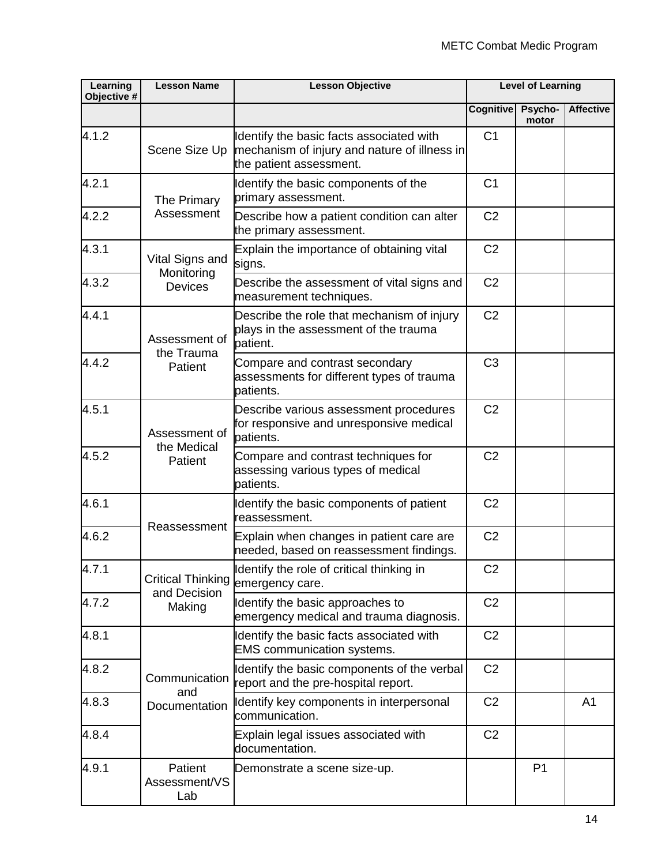| Learning<br>Objective # | <b>Lesson Name</b>                       | <b>Lesson Objective</b>                                                                                             | <b>Level of Learning</b> |                  |                  |
|-------------------------|------------------------------------------|---------------------------------------------------------------------------------------------------------------------|--------------------------|------------------|------------------|
|                         |                                          |                                                                                                                     | Cognitive                | Psycho-<br>motor | <b>Affective</b> |
| 4.1.2                   | Scene Size Up                            | Identify the basic facts associated with<br>mechanism of injury and nature of illness in<br>the patient assessment. | C <sub>1</sub>           |                  |                  |
| 4.2.1                   | The Primary                              | Identify the basic components of the<br>primary assessment.                                                         | C <sub>1</sub>           |                  |                  |
| 4.2.2                   | Assessment                               | Describe how a patient condition can alter<br>the primary assessment.                                               | C <sub>2</sub>           |                  |                  |
| 4.3.1                   | Vital Signs and                          | Explain the importance of obtaining vital<br>signs.                                                                 | C <sub>2</sub>           |                  |                  |
| 4.3.2                   | Monitoring<br><b>Devices</b>             | Describe the assessment of vital signs and<br>measurement techniques.                                               | C <sub>2</sub>           |                  |                  |
| 4.4.1                   | Assessment of                            | Describe the role that mechanism of injury<br>plays in the assessment of the trauma<br>patient.                     | C <sub>2</sub>           |                  |                  |
| 4.4.2                   | the Trauma<br>Patient                    | Compare and contrast secondary<br>assessments for different types of trauma<br>patients.                            | C <sub>3</sub>           |                  |                  |
| 4.5.1                   | Assessment of                            | Describe various assessment procedures<br>for responsive and unresponsive medical<br>patients.                      | C <sub>2</sub>           |                  |                  |
| 4.5.2                   | the Medical<br>Patient                   | Compare and contrast techniques for<br>assessing various types of medical<br>patients.                              | C <sub>2</sub>           |                  |                  |
| 4.6.1                   |                                          | Identify the basic components of patient<br>reassessment.                                                           | C <sub>2</sub>           |                  |                  |
| 4.6.2                   | Reassessment                             | Explain when changes in patient care are<br>needed, based on reassessment findings.                                 | C <sub>2</sub>           |                  |                  |
| 4.7.1                   | <b>Critical Thinking</b><br>and Decision | Identify the role of critical thinking in<br>emergency care.                                                        | C <sub>2</sub>           |                  |                  |
| 4.7.2                   | Making                                   | Identify the basic approaches to<br>emergency medical and trauma diagnosis.                                         | C <sub>2</sub>           |                  |                  |
| 4.8.1                   |                                          | Identify the basic facts associated with<br><b>EMS</b> communication systems.                                       | C <sub>2</sub>           |                  |                  |
| 4.8.2                   | Communication<br>and                     | Identify the basic components of the verbal<br>report and the pre-hospital report.                                  | C <sub>2</sub>           |                  |                  |
| 4.8.3                   | Documentation                            | Identify key components in interpersonal<br>communication.                                                          | C <sub>2</sub>           |                  | A <sub>1</sub>   |
| 4.8.4                   |                                          | Explain legal issues associated with<br>documentation.                                                              | C <sub>2</sub>           |                  |                  |
| 4.9.1                   | Patient<br>Assessment/VS<br>Lab          | Demonstrate a scene size-up.                                                                                        |                          | P <sub>1</sub>   |                  |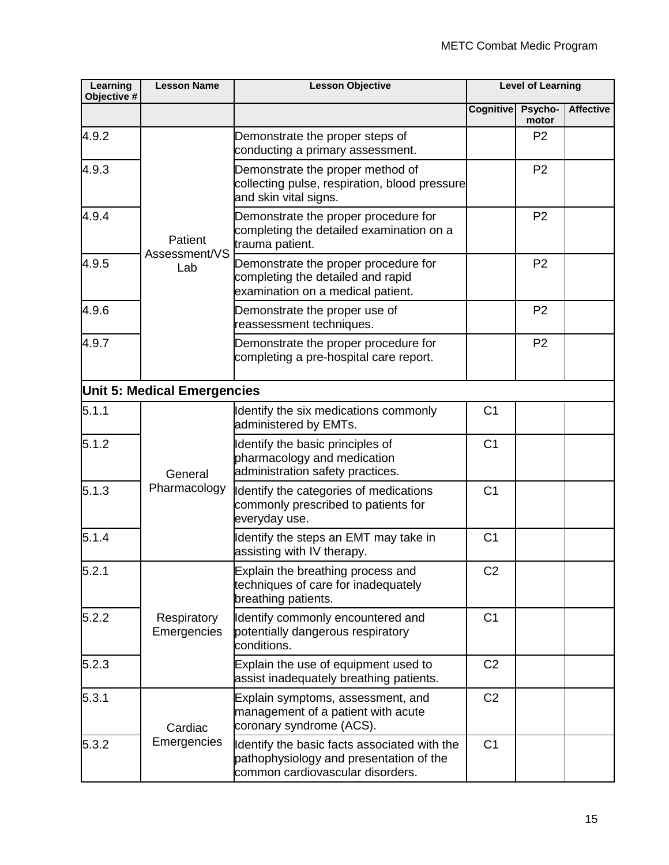| Learning<br>Objective # | <b>Lesson Name</b>                 | <b>Lesson Objective</b>                                                                                                     | <b>Level of Learning</b> |                  |                  |
|-------------------------|------------------------------------|-----------------------------------------------------------------------------------------------------------------------------|--------------------------|------------------|------------------|
|                         |                                    |                                                                                                                             | Cognitive                | Psycho-<br>motor | <b>Affective</b> |
| 4.9.2                   |                                    | Demonstrate the proper steps of<br>conducting a primary assessment.                                                         |                          | P <sub>2</sub>   |                  |
| 4.9.3                   |                                    | Demonstrate the proper method of<br>collecting pulse, respiration, blood pressure<br>and skin vital signs.                  |                          | P <sub>2</sub>   |                  |
| 4.9.4                   | Patient<br>Assessment/VS           | Demonstrate the proper procedure for<br>completing the detailed examination on a<br>trauma patient.                         |                          | P <sub>2</sub>   |                  |
| 4.9.5                   | Lab                                | Demonstrate the proper procedure for<br>completing the detailed and rapid<br>examination on a medical patient.              |                          | P <sub>2</sub>   |                  |
| 4.9.6                   |                                    | Demonstrate the proper use of<br>reassessment techniques.                                                                   |                          | P <sub>2</sub>   |                  |
| 4.9.7                   |                                    | Demonstrate the proper procedure for<br>completing a pre-hospital care report.                                              |                          | P <sub>2</sub>   |                  |
|                         | <b>Unit 5: Medical Emergencies</b> |                                                                                                                             |                          |                  |                  |
| 5.1.1                   |                                    | Identify the six medications commonly<br>administered by EMTs.                                                              | C <sub>1</sub>           |                  |                  |
| 5.1.2                   | General                            | Identify the basic principles of<br>pharmacology and medication<br>administration safety practices.                         | C <sub>1</sub>           |                  |                  |
| 5.1.3                   | Pharmacology                       | Identify the categories of medications<br>commonly prescribed to patients for<br>everyday use.                              | C <sub>1</sub>           |                  |                  |
| 5.1.4                   |                                    | Identify the steps an EMT may take in<br>assisting with IV therapy.                                                         | C <sub>1</sub>           |                  |                  |
| 5.2.1                   |                                    | Explain the breathing process and<br>techniques of care for inadequately<br>breathing patients.                             | C <sub>2</sub>           |                  |                  |
| 5.2.2                   | Respiratory<br>Emergencies         | Identify commonly encountered and<br>potentially dangerous respiratory<br>conditions.                                       | C <sub>1</sub>           |                  |                  |
| 5.2.3                   |                                    | Explain the use of equipment used to<br>assist inadequately breathing patients.                                             | C <sub>2</sub>           |                  |                  |
| 5.3.1                   | Cardiac<br>Emergencies             | Explain symptoms, assessment, and<br>management of a patient with acute<br>coronary syndrome (ACS).                         | C <sub>2</sub>           |                  |                  |
| 5.3.2                   |                                    | Identify the basic facts associated with the<br>pathophysiology and presentation of the<br>common cardiovascular disorders. | C <sub>1</sub>           |                  |                  |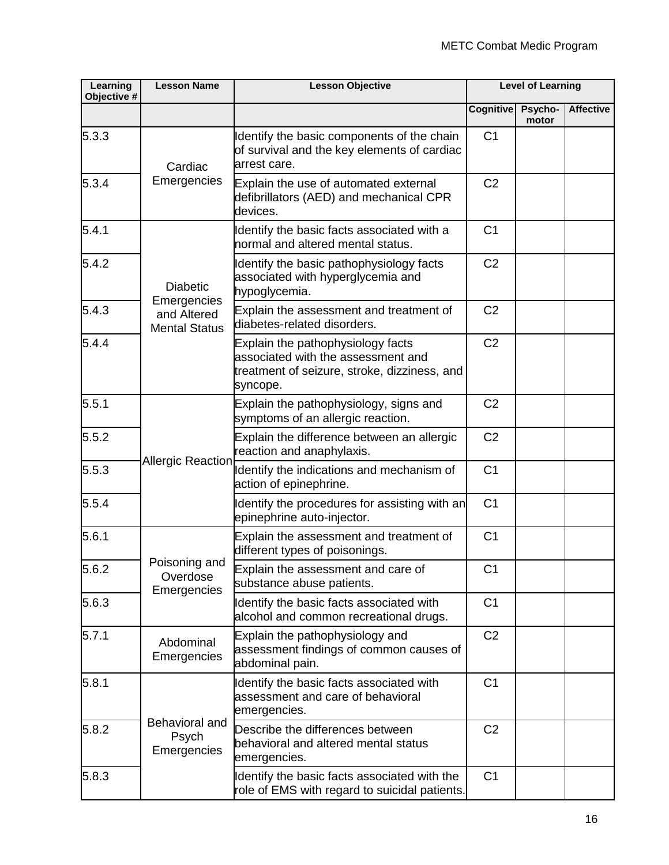| Learning<br>Objective # | <b>Lesson Name</b>                       | <b>Lesson Objective</b>                                                                                                             | <b>Level of Learning</b> |                  |                  |
|-------------------------|------------------------------------------|-------------------------------------------------------------------------------------------------------------------------------------|--------------------------|------------------|------------------|
|                         |                                          |                                                                                                                                     | <b>Cognitive</b>         | Psycho-<br>motor | <b>Affective</b> |
| 5.3.3                   | Cardiac                                  | Identify the basic components of the chain<br>of survival and the key elements of cardiac<br>arrest care.                           | C <sub>1</sub>           |                  |                  |
| 5.3.4                   | Emergencies                              | Explain the use of automated external<br>defibrillators (AED) and mechanical CPR<br>devices.                                        | C <sub>2</sub>           |                  |                  |
| 5.4.1                   |                                          | Identify the basic facts associated with a<br>normal and altered mental status.                                                     | C <sub>1</sub>           |                  |                  |
| 5.4.2                   | <b>Diabetic</b><br>Emergencies           | Identify the basic pathophysiology facts<br>associated with hyperglycemia and<br>hypoglycemia.                                      | C <sub>2</sub>           |                  |                  |
| 5.4.3                   | and Altered<br><b>Mental Status</b>      | Explain the assessment and treatment of<br>diabetes-related disorders.                                                              | C <sub>2</sub>           |                  |                  |
| 5.4.4                   |                                          | Explain the pathophysiology facts<br>associated with the assessment and<br>treatment of seizure, stroke, dizziness, and<br>syncope. | C <sub>2</sub>           |                  |                  |
| 5.5.1                   |                                          | Explain the pathophysiology, signs and<br>symptoms of an allergic reaction.                                                         | C <sub>2</sub>           |                  |                  |
| 5.5.2                   | <b>Allergic Reaction</b>                 | Explain the difference between an allergic<br>reaction and anaphylaxis.                                                             | C <sub>2</sub>           |                  |                  |
| 5.5.3                   |                                          | Identify the indications and mechanism of<br>action of epinephrine.                                                                 | C <sub>1</sub>           |                  |                  |
| 5.5.4                   |                                          | Identify the procedures for assisting with an<br>epinephrine auto-injector.                                                         | C <sub>1</sub>           |                  |                  |
| 5.6.1                   |                                          | Explain the assessment and treatment of<br>different types of poisonings.                                                           | C <sub>1</sub>           |                  |                  |
| 5.6.2                   | Poisoning and<br>Overdose<br>Emergencies | Explain the assessment and care of<br>substance abuse patients.                                                                     | C <sub>1</sub>           |                  |                  |
| 5.6.3                   |                                          | Identify the basic facts associated with<br>alcohol and common recreational drugs.                                                  | C <sub>1</sub>           |                  |                  |
| 5.7.1                   | Abdominal<br>Emergencies                 | Explain the pathophysiology and<br>assessment findings of common causes of<br>abdominal pain.                                       | C <sub>2</sub>           |                  |                  |
| 5.8.1                   |                                          | Identify the basic facts associated with<br>assessment and care of behavioral<br>emergencies.                                       | C <sub>1</sub>           |                  |                  |
| 5.8.2                   | Behavioral and<br>Psych<br>Emergencies   | Describe the differences between<br>behavioral and altered mental status<br>emergencies.                                            | C <sub>2</sub>           |                  |                  |
| 5.8.3                   |                                          | Identify the basic facts associated with the<br>role of EMS with regard to suicidal patients.                                       | C <sub>1</sub>           |                  |                  |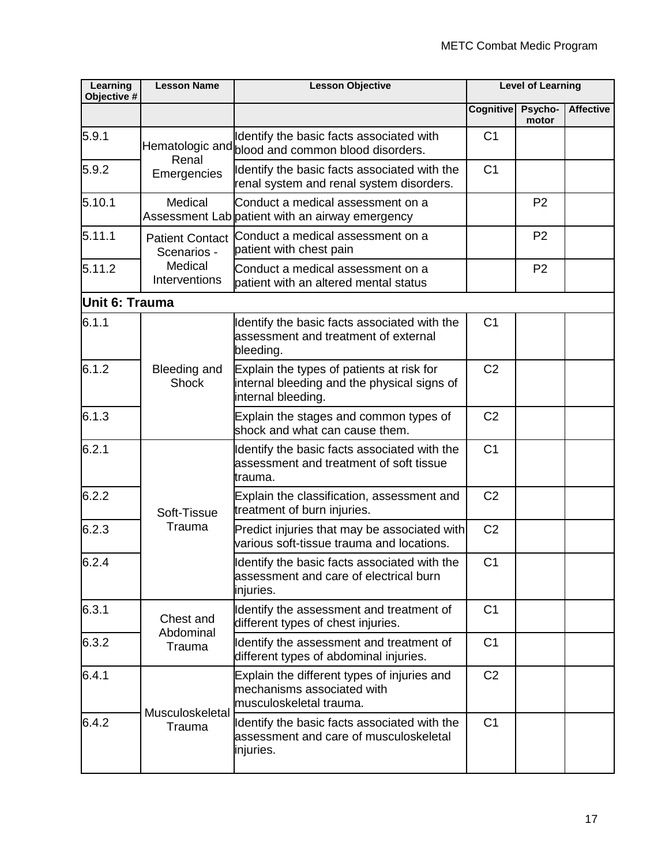| Learning<br>Objective # | <b>Lesson Name</b>                    | <b>Lesson Objective</b>                                                                                        | <b>Level of Learning</b> |                  |                  |
|-------------------------|---------------------------------------|----------------------------------------------------------------------------------------------------------------|--------------------------|------------------|------------------|
|                         |                                       |                                                                                                                | <b>Cognitive</b>         | Psycho-<br>motor | <b>Affective</b> |
| 5.9.1                   | Renal                                 | Identify the basic facts associated with<br>Hematologic and blood and common blood disorders.                  | C <sub>1</sub>           |                  |                  |
| 5.9.2                   | Emergencies                           | Identify the basic facts associated with the<br>renal system and renal system disorders.                       | C <sub>1</sub>           |                  |                  |
| 5.10.1                  | Medical                               | Conduct a medical assessment on a<br>Assessment Lab patient with an airway emergency                           |                          | P <sub>2</sub>   |                  |
| 5.11.1                  | <b>Patient Contact</b><br>Scenarios - | Conduct a medical assessment on a<br>patient with chest pain                                                   |                          | P <sub>2</sub>   |                  |
| 5.11.2                  | Medical<br>Interventions              | Conduct a medical assessment on a<br>patient with an altered mental status                                     |                          | P <sub>2</sub>   |                  |
| Unit 6: Trauma          |                                       |                                                                                                                |                          |                  |                  |
| 6.1.1                   |                                       | Identify the basic facts associated with the<br>assessment and treatment of external<br>bleeding.              | C <sub>1</sub>           |                  |                  |
| 6.1.2                   | Bleeding and<br><b>Shock</b>          | Explain the types of patients at risk for<br>internal bleeding and the physical signs of<br>internal bleeding. | C <sub>2</sub>           |                  |                  |
| 6.1.3                   |                                       | Explain the stages and common types of<br>shock and what can cause them.                                       | C <sub>2</sub>           |                  |                  |
| 6.2.1                   |                                       | Identify the basic facts associated with the<br>assessment and treatment of soft tissue<br>trauma.             | C <sub>1</sub>           |                  |                  |
| 6.2.2                   | Soft-Tissue                           | Explain the classification, assessment and<br>treatment of burn injuries.                                      | C <sub>2</sub>           |                  |                  |
| 6.2.3                   | Trauma                                | Predict injuries that may be associated with<br>various soft-tissue trauma and locations.                      | C <sub>2</sub>           |                  |                  |
| 6.2.4                   |                                       | Identify the basic facts associated with the<br>assessment and care of electrical burn<br>injuries.            | C <sub>1</sub>           |                  |                  |
| 6.3.1                   | Chest and                             | Identify the assessment and treatment of<br>different types of chest injuries.                                 | C <sub>1</sub>           |                  |                  |
| 6.3.2                   | Abdominal<br>Trauma                   | Identify the assessment and treatment of<br>different types of abdominal injuries.                             | C <sub>1</sub>           |                  |                  |
| 6.4.1                   | Musculoskeletal                       | Explain the different types of injuries and<br>mechanisms associated with<br>musculoskeletal trauma.           | C <sub>2</sub>           |                  |                  |
| 6.4.2                   | Trauma                                | Identify the basic facts associated with the<br>assessment and care of musculoskeletal<br>injuries.            | C <sub>1</sub>           |                  |                  |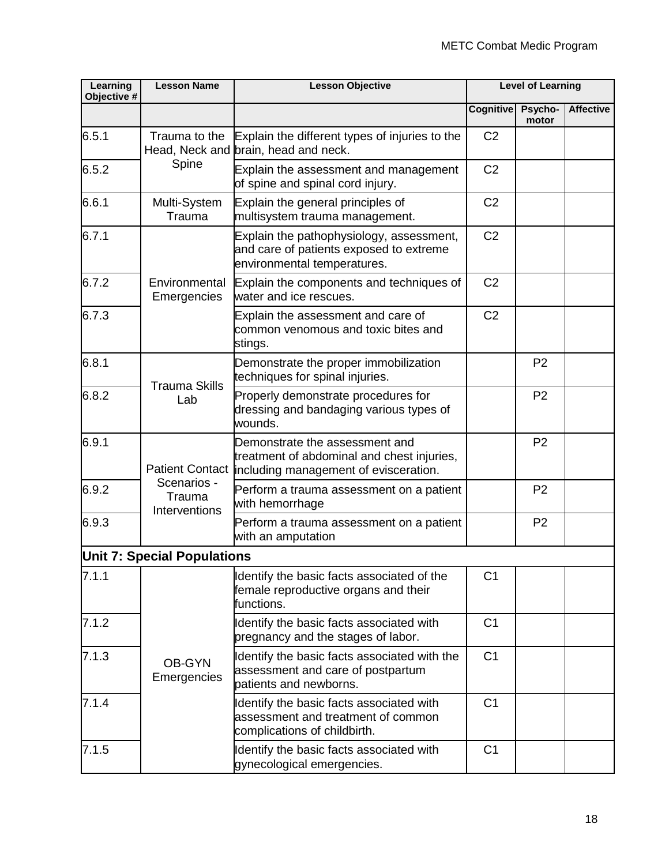| Learning<br>Objective # | <b>Lesson Name</b>                     | <b>Lesson Objective</b>                                                                                               | <b>Level of Learning</b> |                  |                  |
|-------------------------|----------------------------------------|-----------------------------------------------------------------------------------------------------------------------|--------------------------|------------------|------------------|
|                         |                                        |                                                                                                                       | <b>Cognitive</b>         | Psycho-<br>motor | <b>Affective</b> |
| 6.5.1                   | Trauma to the                          | Explain the different types of injuries to the<br>Head, Neck and brain, head and neck.                                | C <sub>2</sub>           |                  |                  |
| 6.5.2                   | Spine                                  | Explain the assessment and management<br>of spine and spinal cord injury.                                             | C <sub>2</sub>           |                  |                  |
| 6.6.1                   | Multi-System<br>Trauma                 | Explain the general principles of<br>multisystem trauma management.                                                   | C <sub>2</sub>           |                  |                  |
| 6.7.1                   | Environmental<br>Emergencies           | Explain the pathophysiology, assessment,<br>and care of patients exposed to extreme<br>environmental temperatures.    | C <sub>2</sub>           |                  |                  |
| 6.7.2                   |                                        | Explain the components and techniques of<br>water and ice rescues.                                                    | C <sub>2</sub>           |                  |                  |
| 6.7.3                   |                                        | Explain the assessment and care of<br>common venomous and toxic bites and<br>stings.                                  | C <sub>2</sub>           |                  |                  |
| 6.8.1                   | <b>Trauma Skills</b><br>Lab            | Demonstrate the proper immobilization<br>techniques for spinal injuries.                                              |                          | P <sub>2</sub>   |                  |
| 6.8.2                   |                                        | Properly demonstrate procedures for<br>dressing and bandaging various types of<br>wounds.                             |                          | P <sub>2</sub>   |                  |
| 6.9.1                   | <b>Patient Contact</b>                 | Demonstrate the assessment and<br>treatment of abdominal and chest injuries,<br>including management of evisceration. |                          | P <sub>2</sub>   |                  |
| 6.9.2                   | Scenarios -<br>Trauma<br>Interventions | Perform a trauma assessment on a patient<br>with hemorrhage                                                           |                          | P <sub>2</sub>   |                  |
| 6.9.3                   |                                        | Perform a trauma assessment on a patient<br>with an amputation                                                        |                          | P <sub>2</sub>   |                  |
|                         | <b>Unit 7: Special Populations</b>     |                                                                                                                       |                          |                  |                  |
| 7.1.1                   |                                        | Identify the basic facts associated of the<br>female reproductive organs and their<br>functions.                      | C <sub>1</sub>           |                  |                  |
| 7.1.2                   |                                        | Identify the basic facts associated with<br>pregnancy and the stages of labor.                                        | C <sub>1</sub>           |                  |                  |
| 7.1.3                   | <b>OB-GYN</b><br>Emergencies           | Identify the basic facts associated with the<br>assessment and care of postpartum<br>patients and newborns.           | C <sub>1</sub>           |                  |                  |
| 7.1.4                   |                                        | Identify the basic facts associated with<br>assessment and treatment of common<br>complications of childbirth.        | C <sub>1</sub>           |                  |                  |
| 7.1.5                   |                                        | Identify the basic facts associated with<br>gynecological emergencies.                                                | C <sub>1</sub>           |                  |                  |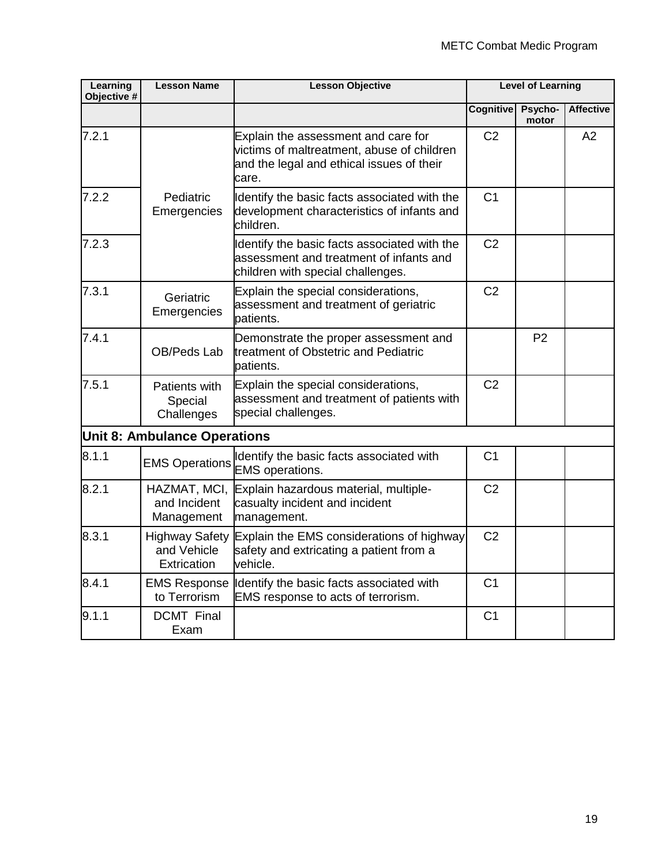| <b>Learning</b><br>Objective # | <b>Lesson Name</b>                                  | <b>Lesson Objective</b>                                                                                                                 | <b>Level of Learning</b> |                  |                  |
|--------------------------------|-----------------------------------------------------|-----------------------------------------------------------------------------------------------------------------------------------------|--------------------------|------------------|------------------|
|                                |                                                     |                                                                                                                                         | <b>Cognitive</b>         | Psycho-<br>motor | <b>Affective</b> |
| 7.2.1                          |                                                     | Explain the assessment and care for<br>victims of maltreatment, abuse of children<br>and the legal and ethical issues of their<br>care. | C <sub>2</sub>           |                  | A2               |
| 7.2.2                          | Pediatric<br>Emergencies                            | Identify the basic facts associated with the<br>development characteristics of infants and<br>children.                                 | C <sub>1</sub>           |                  |                  |
| 7.2.3                          |                                                     | Identify the basic facts associated with the<br>assessment and treatment of infants and<br>children with special challenges.            | C <sub>2</sub>           |                  |                  |
| 7.3.1                          | Geriatric<br>Emergencies                            | Explain the special considerations,<br>assessment and treatment of geriatric<br>patients.                                               | C <sub>2</sub>           |                  |                  |
| 7.4.1                          | OB/Peds Lab                                         | Demonstrate the proper assessment and<br>treatment of Obstetric and Pediatric<br>patients.                                              |                          | P <sub>2</sub>   |                  |
| 7.5.1                          | Patients with<br>Special<br>Challenges              | Explain the special considerations,<br>assessment and treatment of patients with<br>special challenges.                                 | C <sub>2</sub>           |                  |                  |
|                                | <b>Unit 8: Ambulance Operations</b>                 |                                                                                                                                         |                          |                  |                  |
| 8.1.1                          | <b>EMS Operations</b>                               | Identify the basic facts associated with<br><b>EMS</b> operations.                                                                      | C <sub>1</sub>           |                  |                  |
| 8.2.1                          | HAZMAT, MCI,<br>and Incident<br>Management          | Explain hazardous material, multiple-<br>casualty incident and incident<br>management.                                                  | C <sub>2</sub>           |                  |                  |
| 8.3.1                          | <b>Highway Safety</b><br>and Vehicle<br>Extrication | Explain the EMS considerations of highway<br>safety and extricating a patient from a<br>vehicle.                                        | C <sub>2</sub>           |                  |                  |
| 8.4.1                          | <b>EMS Response</b><br>to Terrorism                 | Identify the basic facts associated with<br>EMS response to acts of terrorism.                                                          | C <sub>1</sub>           |                  |                  |
| 9.1.1                          | <b>DCMT</b> Final<br>Exam                           |                                                                                                                                         | C <sub>1</sub>           |                  |                  |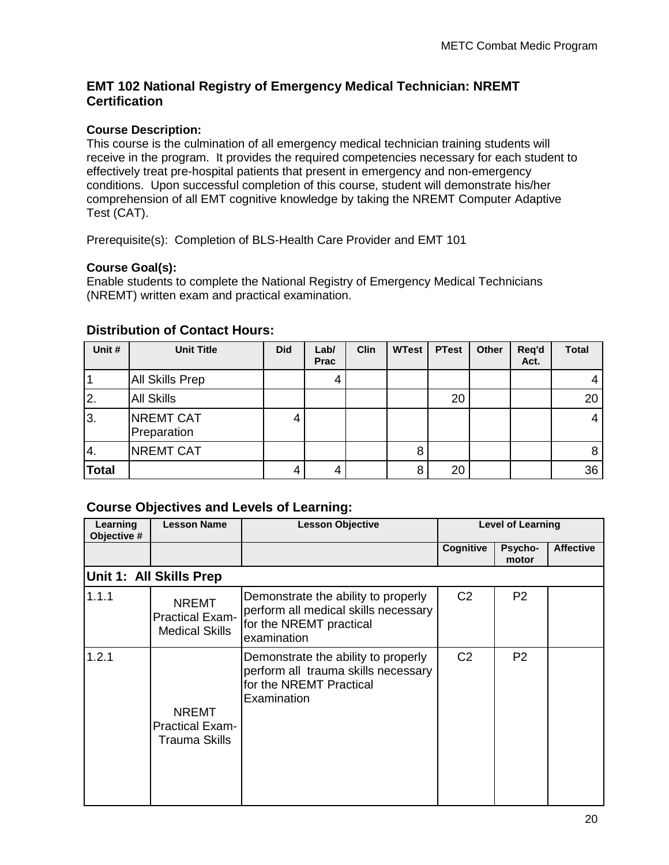#### **EMT 102 National Registry of Emergency Medical Technician: NREMT Certification**

#### **Course Description:**

This course is the culmination of all emergency medical technician training students will receive in the program. It provides the required competencies necessary for each student to effectively treat pre-hospital patients that present in emergency and non-emergency conditions. Upon successful completion of this course, student will demonstrate his/her comprehension of all EMT cognitive knowledge by taking the NREMT Computer Adaptive Test (CAT).

Prerequisite(s): Completion of BLS-Health Care Provider and EMT 101

#### **Course Goal(s):**

Enable students to complete the National Registry of Emergency Medical Technicians (NREMT) written exam and practical examination.

| Unit #        | <b>Unit Title</b>               | <b>Did</b> | Lab/<br><b>Prac</b> | Clin | <b>WTest</b> | <b>PTest</b> | Other | Req'd<br>Act. | <b>Total</b> |
|---------------|---------------------------------|------------|---------------------|------|--------------|--------------|-------|---------------|--------------|
|               | <b>All Skills Prep</b>          |            | 4                   |      |              |              |       |               |              |
| <sup>2.</sup> | <b>All Skills</b>               |            |                     |      |              | 20           |       |               | 20           |
| lз.           | <b>NREMT CAT</b><br>Preparation | 4          |                     |      |              |              |       |               | 4            |
| 4.            | <b>NREMT CAT</b>                |            |                     |      | 8            |              |       |               | 8            |
| <b>Total</b>  |                                 | 4          | 4                   |      | 8            | 20           |       |               | 36           |

#### **Distribution of Contact Hours:**

#### **Course Objectives and Levels of Learning:**

| Learning<br>Objective # | <b>Lesson Name</b>                                              | <b>Lesson Objective</b>                                                                                               |                | <b>Level of Learning</b> |                  |
|-------------------------|-----------------------------------------------------------------|-----------------------------------------------------------------------------------------------------------------------|----------------|--------------------------|------------------|
|                         |                                                                 |                                                                                                                       | Cognitive      | Psycho-<br>motor         | <b>Affective</b> |
|                         | Unit 1: All Skills Prep                                         |                                                                                                                       |                |                          |                  |
| 1.1.1                   | <b>NREMT</b><br><b>Practical Exam-</b><br><b>Medical Skills</b> | Demonstrate the ability to properly<br>perform all medical skills necessary<br>for the NREMT practical<br>examination | C <sub>2</sub> | P <sub>2</sub>           |                  |
| 1.2.1                   | <b>NREMT</b><br><b>Practical Exam-</b><br><b>Trauma Skills</b>  | Demonstrate the ability to properly<br>perform all trauma skills necessary<br>for the NREMT Practical<br>Examination  | C <sub>2</sub> | P <sub>2</sub>           |                  |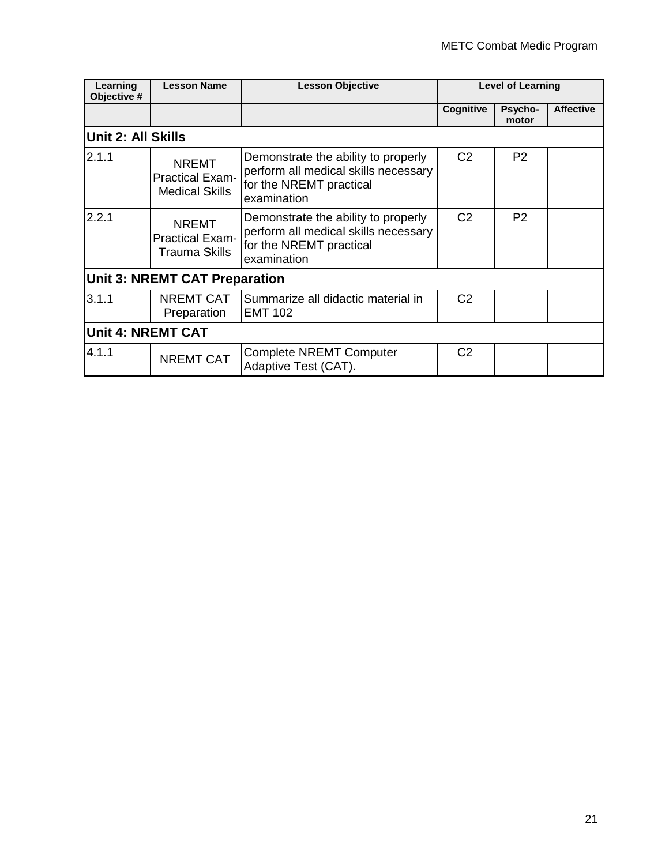| Learning<br>Objective #   | <b>Lesson Name</b>                                              | <b>Lesson Objective</b>                                                                                               |                | <b>Level of Learning</b> |                  |
|---------------------------|-----------------------------------------------------------------|-----------------------------------------------------------------------------------------------------------------------|----------------|--------------------------|------------------|
|                           |                                                                 |                                                                                                                       | Cognitive      | Psycho-<br>motor         | <b>Affective</b> |
| <b>Unit 2: All Skills</b> |                                                                 |                                                                                                                       |                |                          |                  |
| 2.1.1                     | <b>NREMT</b><br><b>Practical Exam-</b><br><b>Medical Skills</b> | Demonstrate the ability to properly<br>perform all medical skills necessary<br>for the NREMT practical<br>examination | C <sub>2</sub> | P <sub>2</sub>           |                  |
| 2.2.1                     | <b>NREMT</b><br><b>Practical Exam-</b><br><b>Trauma Skills</b>  | Demonstrate the ability to properly<br>perform all medical skills necessary<br>for the NREMT practical<br>examination | C <sub>2</sub> | P <sub>2</sub>           |                  |
|                           | <b>Unit 3: NREMT CAT Preparation</b>                            |                                                                                                                       |                |                          |                  |
| 3.1.1                     | <b>NREMT CAT</b><br>Preparation                                 | Summarize all didactic material in<br><b>EMT 102</b>                                                                  | C <sub>2</sub> |                          |                  |
|                           | <b>Unit 4: NREMT CAT</b>                                        |                                                                                                                       |                |                          |                  |
| 4.1.1                     | <b>NREMT CAT</b>                                                | <b>Complete NREMT Computer</b><br>Adaptive Test (CAT).                                                                | C <sub>2</sub> |                          |                  |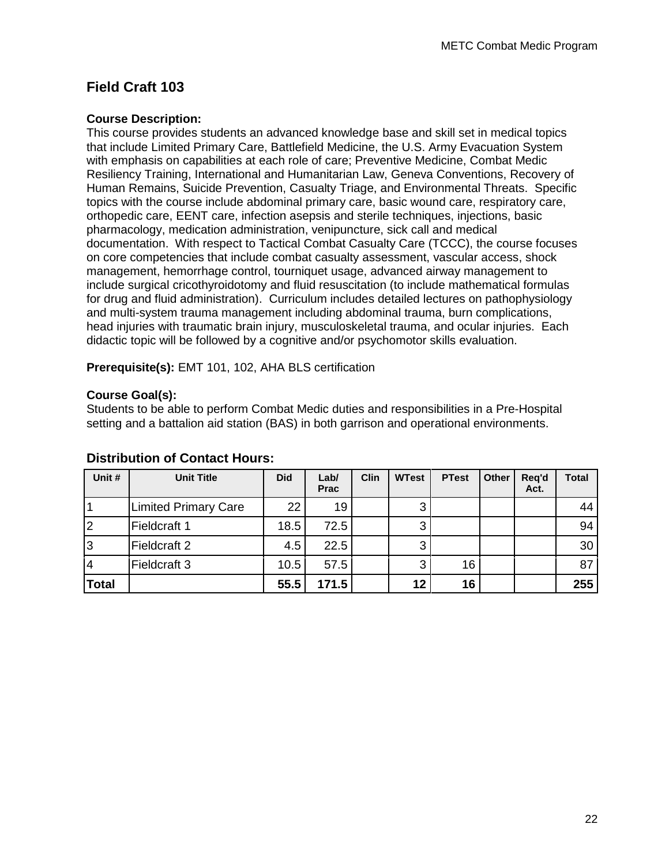## **Field Craft 103**

#### **Course Description:**

This course provides students an advanced knowledge base and skill set in medical topics that include Limited Primary Care, Battlefield Medicine, the U.S. Army Evacuation System with emphasis on capabilities at each role of care; Preventive Medicine, Combat Medic Resiliency Training, International and Humanitarian Law, Geneva Conventions, Recovery of Human Remains, Suicide Prevention, Casualty Triage, and Environmental Threats. Specific topics with the course include abdominal primary care, basic wound care, respiratory care, orthopedic care, EENT care, infection asepsis and sterile techniques, injections, basic pharmacology, medication administration, venipuncture, sick call and medical documentation. With respect to Tactical Combat Casualty Care (TCCC), the course focuses on core competencies that include combat casualty assessment, vascular access, shock management, hemorrhage control, tourniquet usage, advanced airway management to include surgical cricothyroidotomy and fluid resuscitation (to include mathematical formulas for drug and fluid administration). Curriculum includes detailed lectures on pathophysiology and multi-system trauma management including abdominal trauma, burn complications, head injuries with traumatic brain injury, musculoskeletal trauma, and ocular injuries. Each didactic topic will be followed by a cognitive and/or psychomotor skills evaluation.

**Prerequisite(s):** EMT 101, 102, AHA BLS certification

#### **Course Goal(s):**

Students to be able to perform Combat Medic duties and responsibilities in a Pre-Hospital setting and a battalion aid station (BAS) in both garrison and operational environments.

| Unit #       | <b>Unit Title</b>           | <b>Did</b> | Lab/<br><b>Prac</b> | <b>Clin</b> | <b>WTest</b> | <b>PTest</b> | Other | Req'd<br>Act. | Total           |
|--------------|-----------------------------|------------|---------------------|-------------|--------------|--------------|-------|---------------|-----------------|
| 1            | <b>Limited Primary Care</b> | 22         | 19                  |             | 3            |              |       |               | 44              |
| 2            | Fieldcraft 1                | 18.5       | 72.5                |             | 3            |              |       |               | 94 <sub>1</sub> |
| 3            | Fieldcraft 2                | 4.5        | 22.5                |             | 3            |              |       |               | 30              |
| 14           | Fieldcraft 3                | 10.5       | 57.5                |             | 3            | 16           |       |               | 87              |
| <b>Total</b> |                             | 55.5       | 171.5               |             | 12           | 16           |       |               | 255             |

#### **Distribution of Contact Hours:**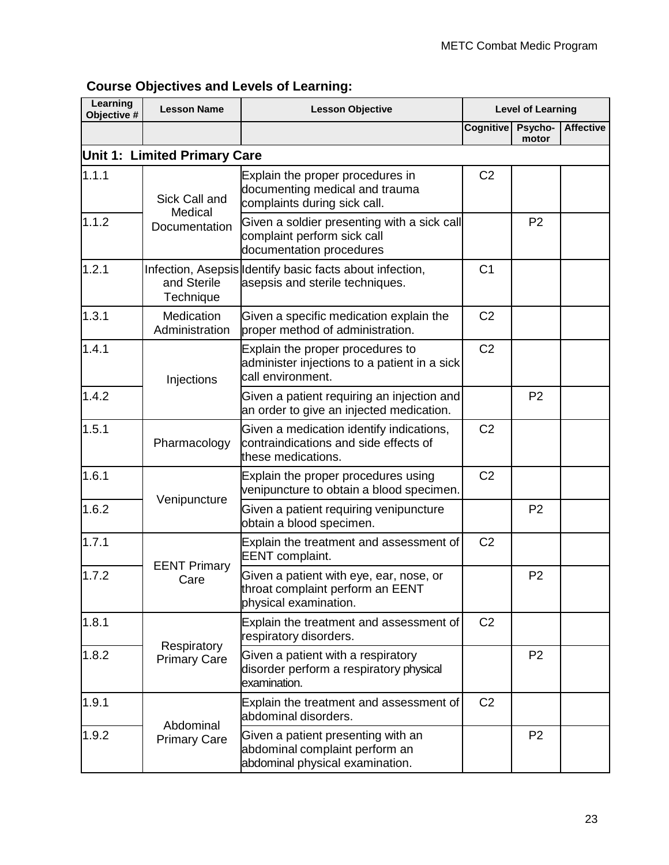| Learning<br>Objective # | <b>Lesson Name</b>                 | <b>Lesson Objective</b>                                                                                 |                | <b>Level of Learning</b> |                  |
|-------------------------|------------------------------------|---------------------------------------------------------------------------------------------------------|----------------|--------------------------|------------------|
|                         |                                    |                                                                                                         | Cognitive      | Psycho-<br>motor         | <b>Affective</b> |
|                         | Unit 1: Limited Primary Care       |                                                                                                         |                |                          |                  |
| 1.1.1                   | Sick Call and<br>Medical           | Explain the proper procedures in<br>documenting medical and trauma<br>complaints during sick call.      | C <sub>2</sub> |                          |                  |
| 1.1.2                   | Documentation                      | Given a soldier presenting with a sick call<br>complaint perform sick call<br>documentation procedures  |                | P <sub>2</sub>           |                  |
| 1.2.1                   | and Sterile<br>Technique           | Infection, Asepsis Identify basic facts about infection,<br>asepsis and sterile techniques.             | C <sub>1</sub> |                          |                  |
| 1.3.1                   | Medication<br>Administration       | Given a specific medication explain the<br>proper method of administration.                             | C <sub>2</sub> |                          |                  |
| 1.4.1                   | Injections                         | Explain the proper procedures to<br>administer injections to a patient in a sick<br>call environment.   | C <sub>2</sub> |                          |                  |
| 1.4.2                   |                                    | Given a patient requiring an injection and<br>an order to give an injected medication.                  |                | P <sub>2</sub>           |                  |
| 1.5.1                   | Pharmacology                       | Given a medication identify indications,<br>contraindications and side effects of<br>these medications. | C <sub>2</sub> |                          |                  |
| 1.6.1                   |                                    | Explain the proper procedures using<br>venipuncture to obtain a blood specimen.                         | C <sub>2</sub> |                          |                  |
| 1.6.2                   | Venipuncture                       | Given a patient requiring venipuncture<br>obtain a blood specimen.                                      |                | P <sub>2</sub>           |                  |
| 1.7.1                   |                                    | Explain the treatment and assessment of<br><b>EENT</b> complaint.                                       | C <sub>2</sub> |                          |                  |
| 1.7.2                   | <b>EENT Primary</b><br>Care        | Given a patient with eye, ear, nose, or<br>throat complaint perform an EENT<br>physical examination.    |                | P <sub>2</sub>           |                  |
| 1.8.1                   |                                    | Explain the treatment and assessment of<br>respiratory disorders.                                       | C <sub>2</sub> |                          |                  |
| 1.8.2                   | Respiratory<br><b>Primary Care</b> | Given a patient with a respiratory<br>disorder perform a respiratory physical<br>examination.           |                | P <sub>2</sub>           |                  |
| 1.9.1                   | Abdominal                          | Explain the treatment and assessment of<br>abdominal disorders.                                         | C <sub>2</sub> |                          |                  |
| 1.9.2                   | <b>Primary Care</b>                | Given a patient presenting with an<br>abdominal complaint perform an<br>abdominal physical examination. |                | P <sub>2</sub>           |                  |

## **Course Objectives and Levels of Learning:**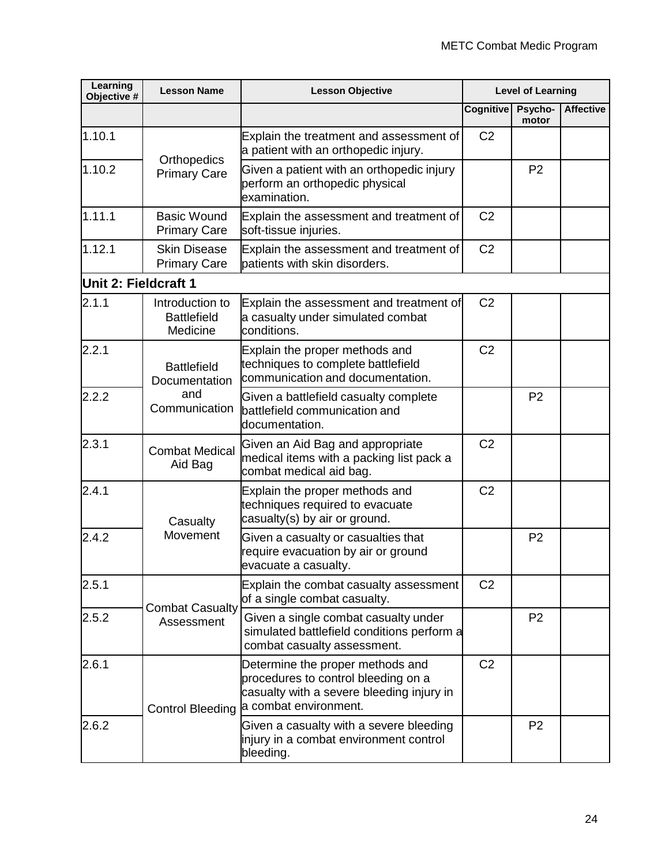| Learning<br>Objective # | <b>Lesson Name</b>                                | <b>Lesson Objective</b>                                                                                                                       |                  | <b>Level of Learning</b> |                  |
|-------------------------|---------------------------------------------------|-----------------------------------------------------------------------------------------------------------------------------------------------|------------------|--------------------------|------------------|
|                         |                                                   |                                                                                                                                               | <b>Cognitive</b> | Psycho-<br>motor         | <b>Affective</b> |
| 1.10.1                  | Orthopedics                                       | Explain the treatment and assessment of<br>a patient with an orthopedic injury.                                                               | C <sub>2</sub>   |                          |                  |
| 1.10.2                  | <b>Primary Care</b>                               | Given a patient with an orthopedic injury<br>perform an orthopedic physical<br>examination.                                                   |                  | P <sub>2</sub>           |                  |
| 1.11.1                  | <b>Basic Wound</b><br><b>Primary Care</b>         | Explain the assessment and treatment of<br>soft-tissue injuries.                                                                              | C <sub>2</sub>   |                          |                  |
| 1.12.1                  | <b>Skin Disease</b><br><b>Primary Care</b>        | Explain the assessment and treatment of<br>patients with skin disorders.                                                                      | C <sub>2</sub>   |                          |                  |
| Unit 2: Fieldcraft 1    |                                                   |                                                                                                                                               |                  |                          |                  |
| 2.1.1                   | Introduction to<br><b>Battlefield</b><br>Medicine | Explain the assessment and treatment of<br>a casualty under simulated combat<br>conditions.                                                   | C <sub>2</sub>   |                          |                  |
| 2.2.1                   | <b>Battlefield</b><br>Documentation               | Explain the proper methods and<br>techniques to complete battlefield<br>communication and documentation.                                      | C <sub>2</sub>   |                          |                  |
| 2.2.2                   | and<br>Communication                              | Given a battlefield casualty complete<br>battlefield communication and<br>documentation.                                                      |                  | P <sub>2</sub>           |                  |
| 2.3.1                   | <b>Combat Medical</b><br>Aid Bag                  | Given an Aid Bag and appropriate<br>medical items with a packing list pack a<br>combat medical aid bag.                                       | C <sub>2</sub>   |                          |                  |
| 2.4.1                   | Casualty                                          | Explain the proper methods and<br>techniques required to evacuate<br>casualty(s) by air or ground.                                            | C <sub>2</sub>   |                          |                  |
| 2.4.2                   | Movement                                          | Given a casualty or casualties that<br>require evacuation by air or ground<br>evacuate a casualty.                                            |                  | P <sub>2</sub>           |                  |
| 2.5.1                   |                                                   | Explain the combat casualty assessment<br>of a single combat casualty.                                                                        | C <sub>2</sub>   |                          |                  |
| 2.5.2                   | <b>Combat Casualty</b><br>Assessment              | Given a single combat casualty under<br>simulated battlefield conditions perform a<br>combat casualty assessment.                             |                  | P <sub>2</sub>           |                  |
| 2.6.1                   | <b>Control Bleeding</b>                           | Determine the proper methods and<br>procedures to control bleeding on a<br>casualty with a severe bleeding injury in<br>a combat environment. | C <sub>2</sub>   |                          |                  |
| 2.6.2                   |                                                   | Given a casualty with a severe bleeding<br>injury in a combat environment control<br>bleeding.                                                |                  | P <sub>2</sub>           |                  |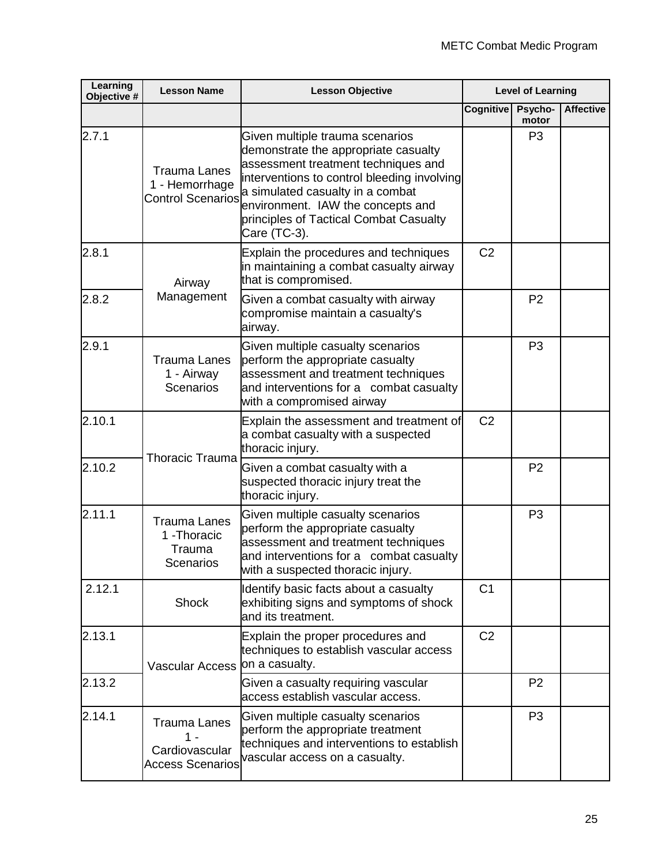| Learning<br>Objective # | <b>Lesson Name</b>                                                      | <b>Lesson Objective</b>                                                                                                                                                                                                                                                                          |                  | <b>Level of Learning</b> |                  |
|-------------------------|-------------------------------------------------------------------------|--------------------------------------------------------------------------------------------------------------------------------------------------------------------------------------------------------------------------------------------------------------------------------------------------|------------------|--------------------------|------------------|
|                         |                                                                         |                                                                                                                                                                                                                                                                                                  | <b>Cognitive</b> | Psycho-<br>motor         | <b>Affective</b> |
| 2.7.1                   | <b>Trauma Lanes</b><br>1 - Hemorrhage<br><b>Control Scenarios</b>       | Given multiple trauma scenarios<br>demonstrate the appropriate casualty<br>assessment treatment techniques and<br>interventions to control bleeding involving<br>a simulated casualty in a combat<br>environment. IAW the concepts and<br>principles of Tactical Combat Casualty<br>Care (TC-3). |                  | P <sub>3</sub>           |                  |
| 2.8.1                   | Airway                                                                  | Explain the procedures and techniques<br>in maintaining a combat casualty airway<br>that is compromised.                                                                                                                                                                                         | C <sub>2</sub>   |                          |                  |
| 2.8.2                   | Management                                                              | Given a combat casualty with airway<br>compromise maintain a casualty's<br>airway.                                                                                                                                                                                                               |                  | P <sub>2</sub>           |                  |
| 2.9.1                   | <b>Trauma Lanes</b><br>1 - Airway<br><b>Scenarios</b>                   | Given multiple casualty scenarios<br>perform the appropriate casualty<br>assessment and treatment techniques<br>and interventions for a combat casualty<br>with a compromised airway                                                                                                             |                  | P <sub>3</sub>           |                  |
| 2.10.1                  | <b>Thoracic Trauma</b>                                                  | Explain the assessment and treatment of<br>a combat casualty with a suspected<br>thoracic injury.                                                                                                                                                                                                | C <sub>2</sub>   |                          |                  |
| 2.10.2                  |                                                                         | Given a combat casualty with a<br>suspected thoracic injury treat the<br>thoracic injury.                                                                                                                                                                                                        |                  | P <sub>2</sub>           |                  |
| 2.11.1                  | <b>Trauma Lanes</b><br>1 - Thoracic<br>Trauma<br><b>Scenarios</b>       | Given multiple casualty scenarios<br>perform the appropriate casualty<br>assessment and treatment techniques<br>and interventions for a combat casualty<br>with a suspected thoracic injury.                                                                                                     |                  | P <sub>3</sub>           |                  |
| 2.12.1                  | <b>Shock</b>                                                            | Identify basic facts about a casualty<br>exhibiting signs and symptoms of shock<br>and its treatment.                                                                                                                                                                                            | C <sub>1</sub>   |                          |                  |
| 2.13.1                  | <b>Vascular Access</b>                                                  | Explain the proper procedures and<br>techniques to establish vascular access<br>on a casualty.                                                                                                                                                                                                   | C <sub>2</sub>   |                          |                  |
| 2.13.2                  |                                                                         | Given a casualty requiring vascular<br>access establish vascular access.                                                                                                                                                                                                                         |                  | P <sub>2</sub>           |                  |
| 2.14.1                  | <b>Trauma Lanes</b><br>1 -<br>Cardiovascular<br><b>Access Scenarios</b> | Given multiple casualty scenarios<br>perform the appropriate treatment<br>techniques and interventions to establish<br>vascular access on a casualty.                                                                                                                                            |                  | P <sub>3</sub>           |                  |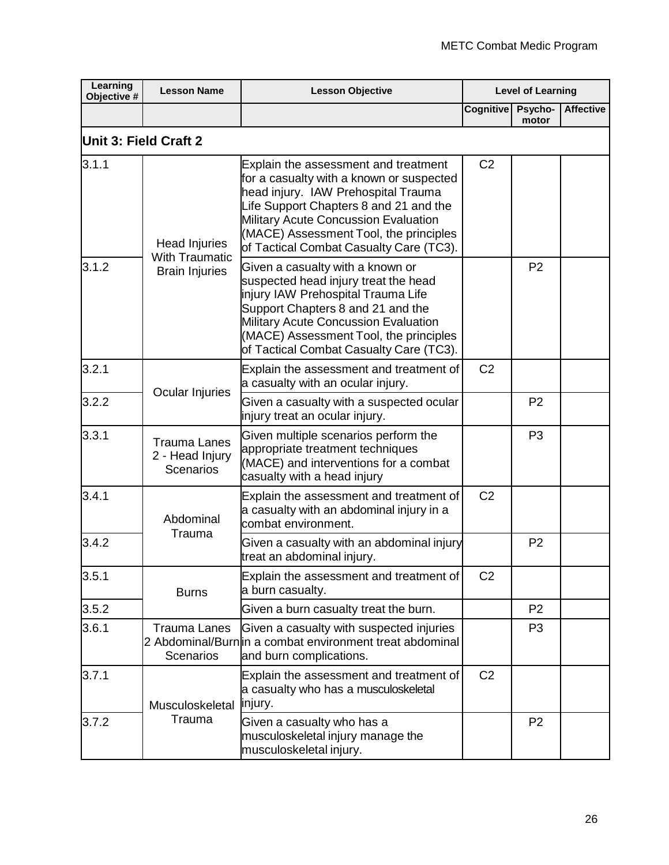| Learning<br>Objective # | <b>Lesson Name</b>                                         | <b>Lesson Objective</b>                                                                                                                                                                                                                                                                        | <b>Level of Learning</b> |                  |                  |
|-------------------------|------------------------------------------------------------|------------------------------------------------------------------------------------------------------------------------------------------------------------------------------------------------------------------------------------------------------------------------------------------------|--------------------------|------------------|------------------|
|                         |                                                            |                                                                                                                                                                                                                                                                                                | Cognitive                | Psycho-<br>motor | <b>Affective</b> |
| Unit 3: Field Craft 2   |                                                            |                                                                                                                                                                                                                                                                                                |                          |                  |                  |
| 3.1.1                   | <b>Head Injuries</b><br><b>With Traumatic</b>              | Explain the assessment and treatment<br>for a casualty with a known or suspected<br>head injury. IAW Prehospital Trauma<br>Life Support Chapters 8 and 21 and the<br>Military Acute Concussion Evaluation<br>(MACE) Assessment Tool, the principles<br>of Tactical Combat Casualty Care (TC3). | C <sub>2</sub>           |                  |                  |
| 3.1.2                   | <b>Brain Injuries</b>                                      | Given a casualty with a known or<br>suspected head injury treat the head<br>injury IAW Prehospital Trauma Life<br>Support Chapters 8 and 21 and the<br>Military Acute Concussion Evaluation<br>(MACE) Assessment Tool, the principles<br>of Tactical Combat Casualty Care (TC3).               |                          | P <sub>2</sub>   |                  |
| 3.2.1                   |                                                            | Explain the assessment and treatment of<br>a casualty with an ocular injury.                                                                                                                                                                                                                   | C <sub>2</sub>           |                  |                  |
| 3.2.2                   | Ocular Injuries                                            | Given a casualty with a suspected ocular<br>injury treat an ocular injury.                                                                                                                                                                                                                     |                          | P <sub>2</sub>   |                  |
| 3.3.1                   | <b>Trauma Lanes</b><br>2 - Head Injury<br><b>Scenarios</b> | Given multiple scenarios perform the<br>appropriate treatment techniques<br>(MACE) and interventions for a combat<br>casualty with a head injury                                                                                                                                               |                          | P <sub>3</sub>   |                  |
| 3.4.1                   | Abdominal<br>Trauma                                        | Explain the assessment and treatment of<br>a casualty with an abdominal injury in a<br>combat environment.                                                                                                                                                                                     | C <sub>2</sub>           |                  |                  |
| 3.4.2                   |                                                            | Given a casualty with an abdominal injury<br>treat an abdominal injury.                                                                                                                                                                                                                        |                          | P <sub>2</sub>   |                  |
| 3.5.1                   | <b>Burns</b>                                               | Explain the assessment and treatment of<br>a burn casualty.                                                                                                                                                                                                                                    | C <sub>2</sub>           |                  |                  |
| 3.5.2                   |                                                            | Given a burn casualty treat the burn.                                                                                                                                                                                                                                                          |                          | P <sub>2</sub>   |                  |
| 3.6.1                   | <b>Trauma Lanes</b><br><b>Scenarios</b>                    | Given a casualty with suspected injuries<br>2 Abdominal/Burn in a combat environment treat abdominal <br>and burn complications.                                                                                                                                                               |                          | P <sub>3</sub>   |                  |
| 3.7.1                   | Musculoskeletal                                            | Explain the assessment and treatment of<br>a casualty who has a musculoskeletal<br>injury.                                                                                                                                                                                                     | C <sub>2</sub>           |                  |                  |
| 3.7.2                   | Trauma                                                     | Given a casualty who has a<br>musculoskeletal injury manage the<br>musculoskeletal injury.                                                                                                                                                                                                     |                          | P <sub>2</sub>   |                  |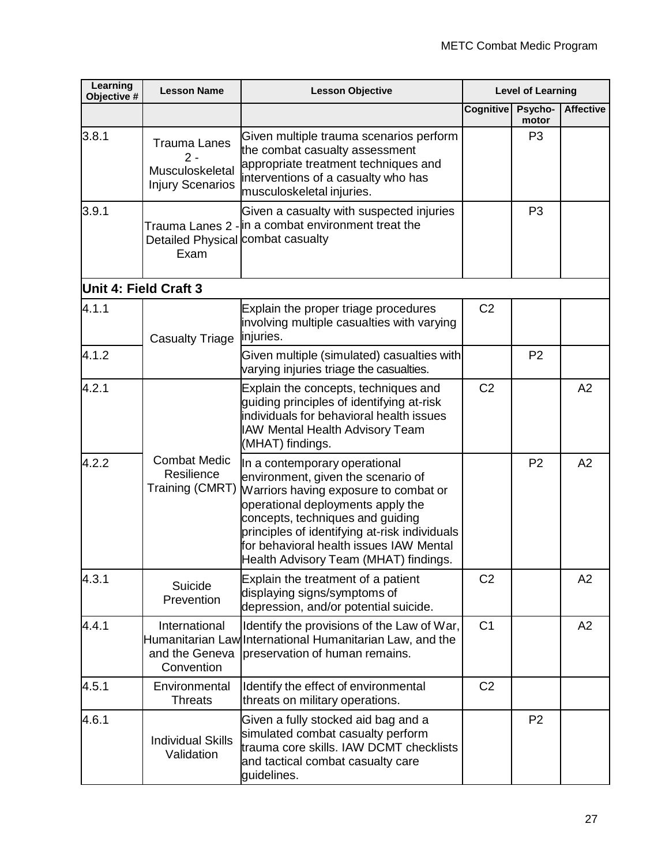| Learning<br>Objective # | <b>Lesson Name</b>                                                         | <b>Lesson Objective</b>                                                                                                                                                                                                                                                                                                    | <b>Level of Learning</b> |                  |                  |
|-------------------------|----------------------------------------------------------------------------|----------------------------------------------------------------------------------------------------------------------------------------------------------------------------------------------------------------------------------------------------------------------------------------------------------------------------|--------------------------|------------------|------------------|
|                         |                                                                            |                                                                                                                                                                                                                                                                                                                            | <b>Cognitive</b>         | Psycho-<br>motor | <b>Affective</b> |
| 3.8.1                   | <b>Trauma Lanes</b><br>$2 -$<br>Musculoskeletal<br><b>Injury Scenarios</b> | Given multiple trauma scenarios perform<br>the combat casualty assessment<br>appropriate treatment techniques and<br>interventions of a casualty who has<br>musculoskeletal injuries.                                                                                                                                      |                          | P <sub>3</sub>   |                  |
| 3.9.1                   | Detailed Physical combat casualty<br>Exam                                  | Given a casualty with suspected injuries<br>Trauma Lanes 2 - in a combat environment treat the                                                                                                                                                                                                                             |                          | P <sub>3</sub>   |                  |
| Unit 4: Field Craft 3   |                                                                            |                                                                                                                                                                                                                                                                                                                            |                          |                  |                  |
| 4.1.1                   | <b>Casualty Triage</b>                                                     | Explain the proper triage procedures<br>involving multiple casualties with varying<br>injuries.                                                                                                                                                                                                                            | C <sub>2</sub>           |                  |                  |
| 4.1.2                   |                                                                            | Given multiple (simulated) casualties with<br>varying injuries triage the casualties.                                                                                                                                                                                                                                      |                          | P <sub>2</sub>   |                  |
| 4.2.1                   |                                                                            | Explain the concepts, techniques and<br>guiding principles of identifying at-risk<br>individuals for behavioral health issues<br>IAW Mental Health Advisory Team<br>(MHAT) findings.                                                                                                                                       | C <sub>2</sub>           |                  | A2               |
| 4.2.2                   | <b>Combat Medic</b><br>Resilience<br>Training (CMRT)                       | In a contemporary operational<br>environment, given the scenario of<br>Warriors having exposure to combat or<br>operational deployments apply the<br>concepts, techniques and quiding<br>principles of identifying at-risk individuals<br>for behavioral health issues IAW Mental<br>Health Advisory Team (MHAT) findings. |                          | P <sub>2</sub>   | A2               |
| 4.3.1                   | Suicide<br>Prevention                                                      | Explain the treatment of a patient<br>displaying signs/symptoms of<br>depression, and/or potential suicide.                                                                                                                                                                                                                | C <sub>2</sub>           |                  | A2               |
| 4.4.1                   | International<br>and the Geneva<br>Convention                              | Identify the provisions of the Law of War,<br>Humanitarian Law International Humanitarian Law, and the<br>preservation of human remains.                                                                                                                                                                                   | C <sub>1</sub>           |                  | A2               |
| 4.5.1                   | Environmental<br><b>Threats</b>                                            | Identify the effect of environmental<br>threats on military operations.                                                                                                                                                                                                                                                    | C <sub>2</sub>           |                  |                  |
| 4.6.1                   | <b>Individual Skills</b><br>Validation                                     | Given a fully stocked aid bag and a<br>simulated combat casualty perform<br>trauma core skills. IAW DCMT checklists<br>and tactical combat casualty care<br>guidelines.                                                                                                                                                    |                          | P <sub>2</sub>   |                  |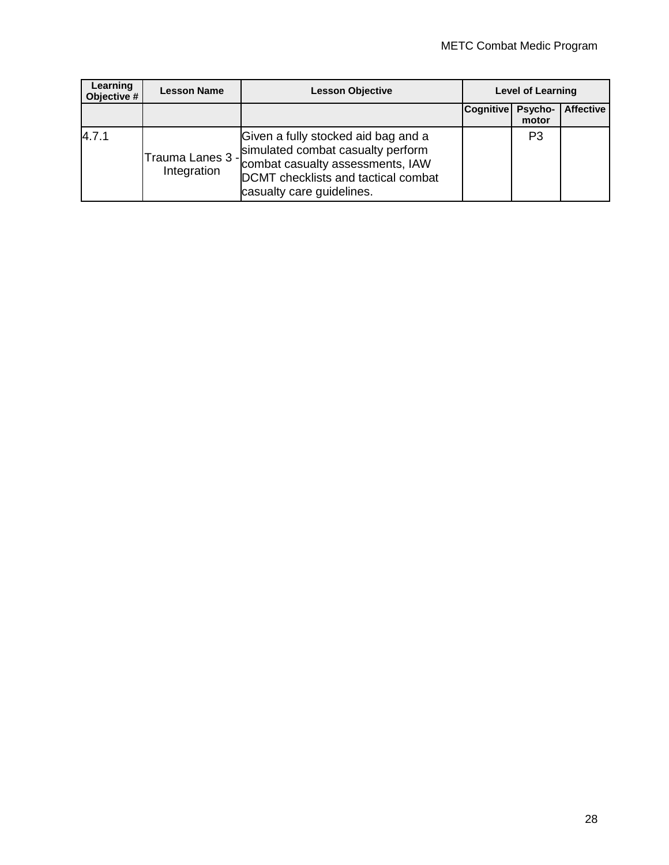| Learning<br>Objective # | <b>Lesson Name</b>               | <b>Lesson Objective</b>                                                                                                                                                          |                  | <b>Level of Learning</b> |                  |
|-------------------------|----------------------------------|----------------------------------------------------------------------------------------------------------------------------------------------------------------------------------|------------------|--------------------------|------------------|
|                         |                                  |                                                                                                                                                                                  | <b>Cognitive</b> | <b>Psycho-</b><br>motor  | <b>Affective</b> |
| 4.7.1                   | Trauma Lanes 3 - <br>Integration | Given a fully stocked aid bag and a<br>simulated combat casualty perform<br>combat casualty assessments, IAW<br>DCMT checklists and tactical combat<br>casualty care guidelines. |                  | P <sub>3</sub>           |                  |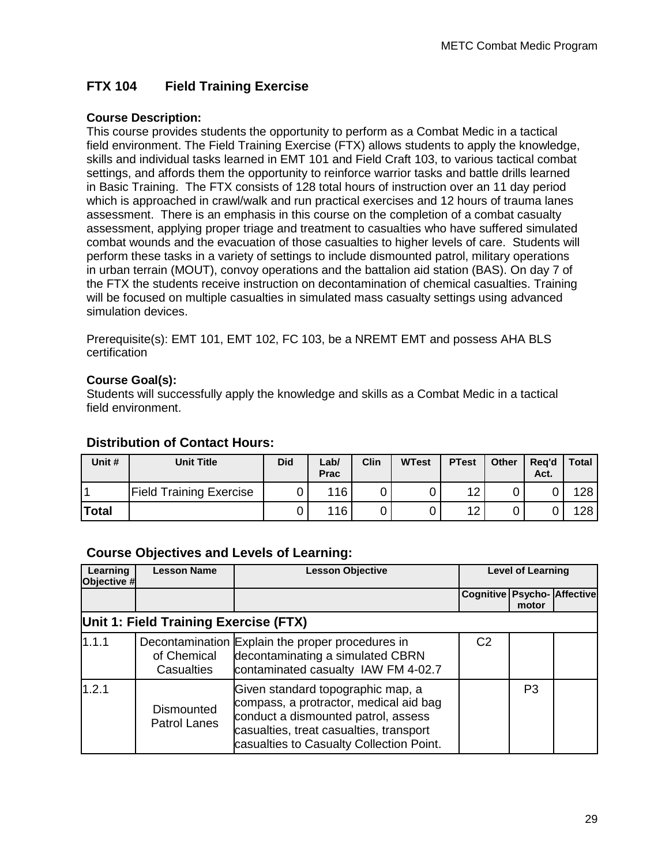### **FTX 104 Field Training Exercise**

#### **Course Description:**

This course provides students the opportunity to perform as a Combat Medic in a tactical field environment. The Field Training Exercise (FTX) allows students to apply the knowledge, skills and individual tasks learned in EMT 101 and Field Craft 103, to various tactical combat settings, and affords them the opportunity to reinforce warrior tasks and battle drills learned in Basic Training. The FTX consists of 128 total hours of instruction over an 11 day period which is approached in crawl/walk and run practical exercises and 12 hours of trauma lanes assessment. There is an emphasis in this course on the completion of a combat casualty assessment, applying proper triage and treatment to casualties who have suffered simulated combat wounds and the evacuation of those casualties to higher levels of care. Students will perform these tasks in a variety of settings to include dismounted patrol, military operations in urban terrain (MOUT), convoy operations and the battalion aid station (BAS). On day 7 of the FTX the students receive instruction on decontamination of chemical casualties. Training will be focused on multiple casualties in simulated mass casualty settings using advanced simulation devices.

Prerequisite(s): EMT 101, EMT 102, FC 103, be a NREMT EMT and possess AHA BLS certification

#### **Course Goal(s):**

Students will successfully apply the knowledge and skills as a Combat Medic in a tactical field environment.

#### **Distribution of Contact Hours:**

| Unit #         | <b>Unit Title</b>              | <b>Did</b> | Lab/<br>Prac | Clin | <b>WTest</b> | <b>PTest</b> | <b>Other</b> | Rea'd<br>Act. | <b>Total</b> |
|----------------|--------------------------------|------------|--------------|------|--------------|--------------|--------------|---------------|--------------|
| $\overline{A}$ | <b>Field Training Exercise</b> |            | 116          |      |              | 12           |              |               | 128          |
| Total          |                                |            | 116          |      |              | 12           |              |               | 128          |

#### **Course Objectives and Levels of Learning:**

| Learning<br>Objective # | <b>Lesson Name</b>                       | <b>Lesson Objective</b>                                                                                                                                                                                   | <b>Level of Learning</b>    |                |  |
|-------------------------|------------------------------------------|-----------------------------------------------------------------------------------------------------------------------------------------------------------------------------------------------------------|-----------------------------|----------------|--|
|                         |                                          |                                                                                                                                                                                                           | Cognitive Psycho- Affective | motor          |  |
|                         | Unit 1: Field Training Exercise (FTX)    |                                                                                                                                                                                                           |                             |                |  |
| 1.1.1                   | of Chemical<br>Casualties                | Decontamination Explain the proper procedures in<br>decontaminating a simulated CBRN<br>contaminated casualty IAW FM 4-02.7                                                                               | C <sub>2</sub>              |                |  |
| 1.2.1                   | <b>Dismounted</b><br><b>Patrol Lanes</b> | Given standard topographic map, a<br>compass, a protractor, medical aid bag<br>conduct a dismounted patrol, assess<br>casualties, treat casualties, transport<br>casualties to Casualty Collection Point. |                             | P <sub>3</sub> |  |